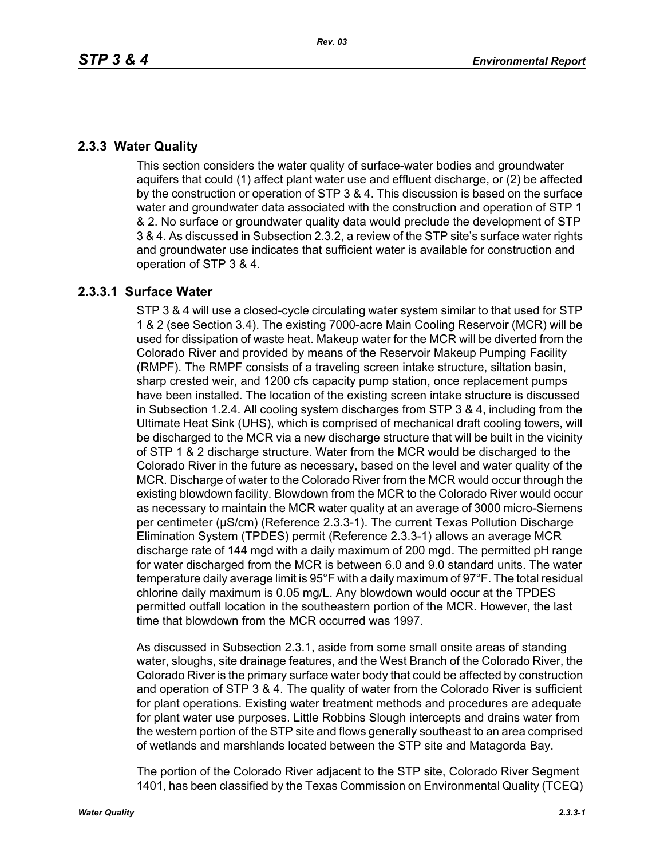## **2.3.3 Water Quality**

This section considers the water quality of surface-water bodies and groundwater aquifers that could (1) affect plant water use and effluent discharge, or (2) be affected by the construction or operation of STP 3 & 4. This discussion is based on the surface water and groundwater data associated with the construction and operation of STP 1 & 2. No surface or groundwater quality data would preclude the development of STP 3 & 4. As discussed in Subsection 2.3.2, a review of the STP site's surface water rights and groundwater use indicates that sufficient water is available for construction and operation of STP 3 & 4.

# **2.3.3.1 Surface Water**

STP 3 & 4 will use a closed-cycle circulating water system similar to that used for STP 1 & 2 (see Section 3.4). The existing 7000-acre Main Cooling Reservoir (MCR) will be used for dissipation of waste heat. Makeup water for the MCR will be diverted from the Colorado River and provided by means of the Reservoir Makeup Pumping Facility (RMPF). The RMPF consists of a traveling screen intake structure, siltation basin, sharp crested weir, and 1200 cfs capacity pump station, once replacement pumps have been installed. The location of the existing screen intake structure is discussed in Subsection 1.2.4. All cooling system discharges from STP 3 & 4, including from the Ultimate Heat Sink (UHS), which is comprised of mechanical draft cooling towers, will be discharged to the MCR via a new discharge structure that will be built in the vicinity of STP 1 & 2 discharge structure. Water from the MCR would be discharged to the Colorado River in the future as necessary, based on the level and water quality of the MCR. Discharge of water to the Colorado River from the MCR would occur through the existing blowdown facility. Blowdown from the MCR to the Colorado River would occur as necessary to maintain the MCR water quality at an average of 3000 micro-Siemens per centimeter (µS/cm) (Reference 2.3.3-1). The current Texas Pollution Discharge Elimination System (TPDES) permit (Reference 2.3.3-1) allows an average MCR discharge rate of 144 mgd with a daily maximum of 200 mgd. The permitted pH range for water discharged from the MCR is between 6.0 and 9.0 standard units. The water temperature daily average limit is 95°F with a daily maximum of 97°F. The total residual chlorine daily maximum is 0.05 mg/L. Any blowdown would occur at the TPDES permitted outfall location in the southeastern portion of the MCR. However, the last time that blowdown from the MCR occurred was 1997.

As discussed in Subsection 2.3.1, aside from some small onsite areas of standing water, sloughs, site drainage features, and the West Branch of the Colorado River, the Colorado River is the primary surface water body that could be affected by construction and operation of STP 3 & 4. The quality of water from the Colorado River is sufficient for plant operations. Existing water treatment methods and procedures are adequate for plant water use purposes. Little Robbins Slough intercepts and drains water from the western portion of the STP site and flows generally southeast to an area comprised of wetlands and marshlands located between the STP site and Matagorda Bay.

The portion of the Colorado River adjacent to the STP site, Colorado River Segment 1401, has been classified by the Texas Commission on Environmental Quality (TCEQ)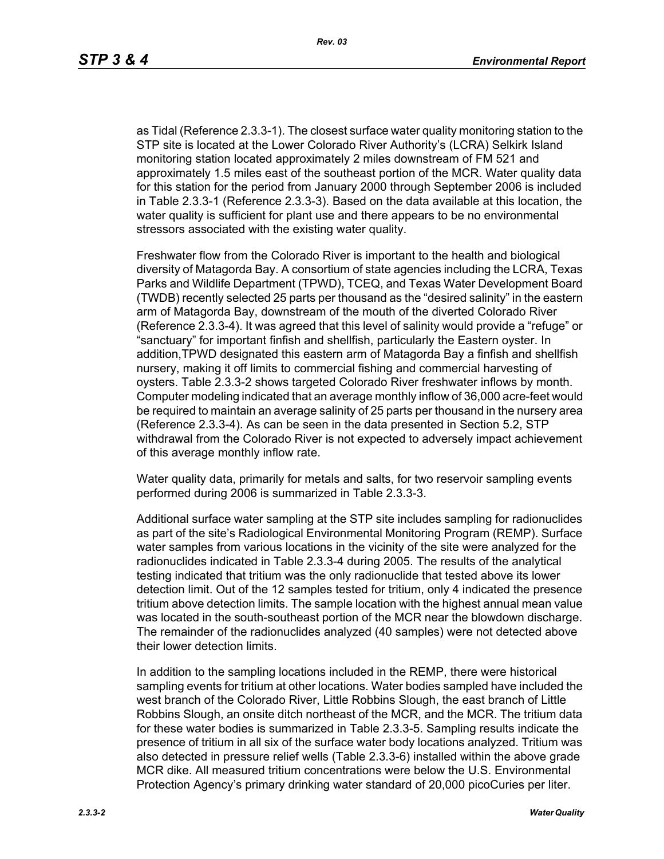as Tidal (Reference 2.3.3-1). The closest surface water quality monitoring station to the STP site is located at the Lower Colorado River Authority's (LCRA) Selkirk Island monitoring station located approximately 2 miles downstream of FM 521 and approximately 1.5 miles east of the southeast portion of the MCR. Water quality data for this station for the period from January 2000 through September 2006 is included in Table 2.3.3-1 (Reference 2.3.3-3). Based on the data available at this location, the water quality is sufficient for plant use and there appears to be no environmental stressors associated with the existing water quality.

Freshwater flow from the Colorado River is important to the health and biological diversity of Matagorda Bay. A consortium of state agencies including the LCRA, Texas Parks and Wildlife Department (TPWD), TCEQ, and Texas Water Development Board (TWDB) recently selected 25 parts per thousand as the "desired salinity" in the eastern arm of Matagorda Bay, downstream of the mouth of the diverted Colorado River (Reference 2.3.3-4). It was agreed that this level of salinity would provide a "refuge" or "sanctuary" for important finfish and shellfish, particularly the Eastern oyster. In addition,TPWD designated this eastern arm of Matagorda Bay a finfish and shellfish nursery, making it off limits to commercial fishing and commercial harvesting of oysters. Table 2.3.3-2 shows targeted Colorado River freshwater inflows by month. Computer modeling indicated that an average monthly inflow of 36,000 acre-feet would be required to maintain an average salinity of 25 parts per thousand in the nursery area (Reference 2.3.3-4). As can be seen in the data presented in Section 5.2, STP withdrawal from the Colorado River is not expected to adversely impact achievement of this average monthly inflow rate.

Water quality data, primarily for metals and salts, for two reservoir sampling events performed during 2006 is summarized in Table 2.3.3-3.

Additional surface water sampling at the STP site includes sampling for radionuclides as part of the site's Radiological Environmental Monitoring Program (REMP). Surface water samples from various locations in the vicinity of the site were analyzed for the radionuclides indicated in Table 2.3.3-4 during 2005. The results of the analytical testing indicated that tritium was the only radionuclide that tested above its lower detection limit. Out of the 12 samples tested for tritium, only 4 indicated the presence tritium above detection limits. The sample location with the highest annual mean value was located in the south-southeast portion of the MCR near the blowdown discharge. The remainder of the radionuclides analyzed (40 samples) were not detected above their lower detection limits.

In addition to the sampling locations included in the REMP, there were historical sampling events for tritium at other locations. Water bodies sampled have included the west branch of the Colorado River, Little Robbins Slough, the east branch of Little Robbins Slough, an onsite ditch northeast of the MCR, and the MCR. The tritium data for these water bodies is summarized in Table 2.3.3-5. Sampling results indicate the presence of tritium in all six of the surface water body locations analyzed. Tritium was also detected in pressure relief wells (Table 2.3.3-6) installed within the above grade MCR dike. All measured tritium concentrations were below the U.S. Environmental Protection Agency's primary drinking water standard of 20,000 picoCuries per liter.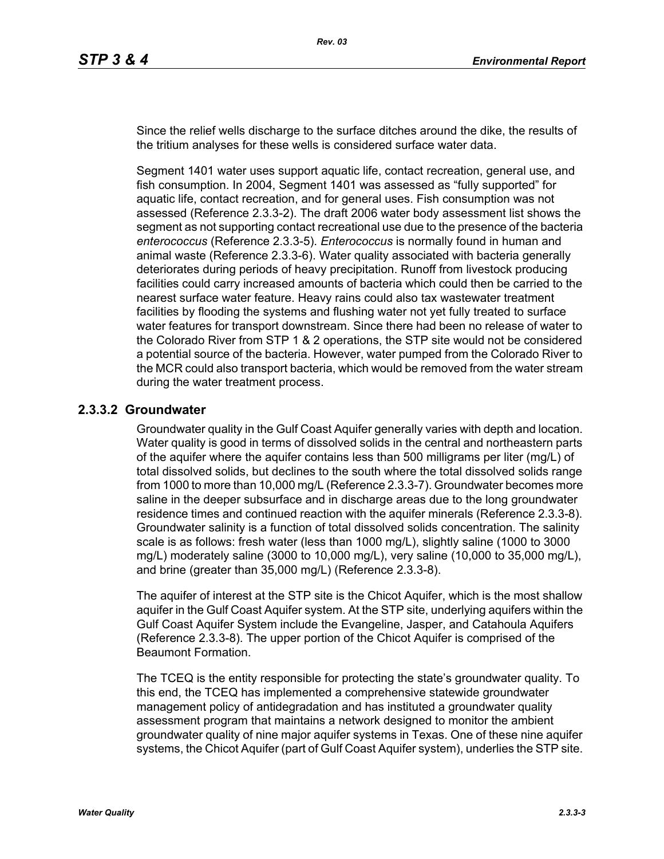Since the relief wells discharge to the surface ditches around the dike, the results of the tritium analyses for these wells is considered surface water data.

Segment 1401 water uses support aquatic life, contact recreation, general use, and fish consumption. In 2004, Segment 1401 was assessed as "fully supported" for aquatic life, contact recreation, and for general uses. Fish consumption was not assessed (Reference 2.3.3-2). The draft 2006 water body assessment list shows the segment as not supporting contact recreational use due to the presence of the bacteria *enterococcus* (Reference 2.3.3-5). *Enterococcus* is normally found in human and animal waste (Reference 2.3.3-6). Water quality associated with bacteria generally deteriorates during periods of heavy precipitation. Runoff from livestock producing facilities could carry increased amounts of bacteria which could then be carried to the nearest surface water feature. Heavy rains could also tax wastewater treatment facilities by flooding the systems and flushing water not yet fully treated to surface water features for transport downstream. Since there had been no release of water to the Colorado River from STP 1 & 2 operations, the STP site would not be considered a potential source of the bacteria. However, water pumped from the Colorado River to the MCR could also transport bacteria, which would be removed from the water stream during the water treatment process.

### **2.3.3.2 Groundwater**

Groundwater quality in the Gulf Coast Aquifer generally varies with depth and location. Water quality is good in terms of dissolved solids in the central and northeastern parts of the aquifer where the aquifer contains less than 500 milligrams per liter (mg/L) of total dissolved solids, but declines to the south where the total dissolved solids range from 1000 to more than 10,000 mg/L (Reference 2.3.3-7). Groundwater becomes more saline in the deeper subsurface and in discharge areas due to the long groundwater residence times and continued reaction with the aquifer minerals (Reference 2.3.3-8). Groundwater salinity is a function of total dissolved solids concentration. The salinity scale is as follows: fresh water (less than 1000 mg/L), slightly saline (1000 to 3000 mg/L) moderately saline (3000 to 10,000 mg/L), very saline (10,000 to 35,000 mg/L), and brine (greater than 35,000 mg/L) (Reference 2.3.3-8).

The aquifer of interest at the STP site is the Chicot Aquifer, which is the most shallow aquifer in the Gulf Coast Aquifer system. At the STP site, underlying aquifers within the Gulf Coast Aquifer System include the Evangeline, Jasper, and Catahoula Aquifers (Reference 2.3.3-8). The upper portion of the Chicot Aquifer is comprised of the Beaumont Formation.

The TCEQ is the entity responsible for protecting the state's groundwater quality. To this end, the TCEQ has implemented a comprehensive statewide groundwater management policy of antidegradation and has instituted a groundwater quality assessment program that maintains a network designed to monitor the ambient groundwater quality of nine major aquifer systems in Texas. One of these nine aquifer systems, the Chicot Aquifer (part of Gulf Coast Aquifer system), underlies the STP site.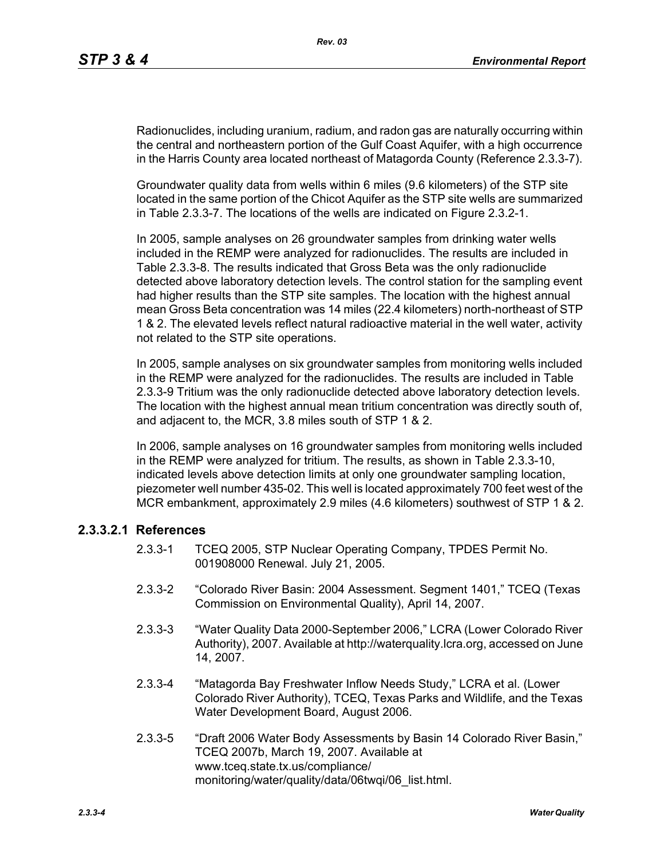Radionuclides, including uranium, radium, and radon gas are naturally occurring within the central and northeastern portion of the Gulf Coast Aquifer, with a high occurrence in the Harris County area located northeast of Matagorda County (Reference 2.3.3-7).

Groundwater quality data from wells within 6 miles (9.6 kilometers) of the STP site located in the same portion of the Chicot Aquifer as the STP site wells are summarized in Table 2.3.3-7. The locations of the wells are indicated on Figure 2.3.2-1.

In 2005, sample analyses on 26 groundwater samples from drinking water wells included in the REMP were analyzed for radionuclides. The results are included in Table 2.3.3-8. The results indicated that Gross Beta was the only radionuclide detected above laboratory detection levels. The control station for the sampling event had higher results than the STP site samples. The location with the highest annual mean Gross Beta concentration was 14 miles (22.4 kilometers) north-northeast of STP 1 & 2. The elevated levels reflect natural radioactive material in the well water, activity not related to the STP site operations.

In 2005, sample analyses on six groundwater samples from monitoring wells included in the REMP were analyzed for the radionuclides. The results are included in Table 2.3.3-9 Tritium was the only radionuclide detected above laboratory detection levels. The location with the highest annual mean tritium concentration was directly south of, and adjacent to, the MCR, 3.8 miles south of STP 1 & 2.

In 2006, sample analyses on 16 groundwater samples from monitoring wells included in the REMP were analyzed for tritium. The results, as shown in Table 2.3.3-10, indicated levels above detection limits at only one groundwater sampling location, piezometer well number 435-02. This well is located approximately 700 feet west of the MCR embankment, approximately 2.9 miles (4.6 kilometers) southwest of STP 1 & 2.

### **2.3.3.2.1 References**

- 2.3.3-1 TCEQ 2005, STP Nuclear Operating Company, TPDES Permit No. 001908000 Renewal. July 21, 2005.
- 2.3.3-2 "Colorado River Basin: 2004 Assessment. Segment 1401," TCEQ (Texas Commission on Environmental Quality), April 14, 2007.
- 2.3.3-3 "Water Quality Data 2000-September 2006," LCRA (Lower Colorado River Authority), 2007. Available at http://waterquality.lcra.org, accessed on June 14, 2007.
- 2.3.3-4 "Matagorda Bay Freshwater Inflow Needs Study," LCRA et al. (Lower Colorado River Authority), TCEQ, Texas Parks and Wildlife, and the Texas Water Development Board, August 2006.
- 2.3.3-5 "Draft 2006 Water Body Assessments by Basin 14 Colorado River Basin," TCEQ 2007b, March 19, 2007. Available at www.tceq.state.tx.us/compliance/ monitoring/water/quality/data/06twqi/06\_list.html.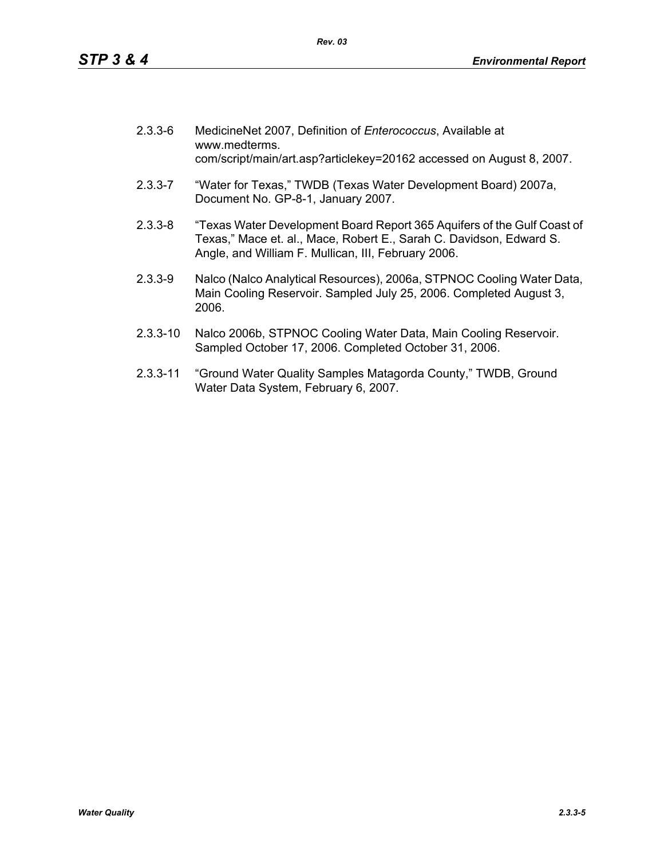| $2.3.3 - 6$ | MedicineNet 2007, Definition of Enterococcus, Available at<br>www.medterms.<br>com/script/main/art.asp?articlekey=20162 accessed on August 8, 2007.                                                   |
|-------------|-------------------------------------------------------------------------------------------------------------------------------------------------------------------------------------------------------|
| $2.3.3 - 7$ | "Water for Texas," TWDB (Texas Water Development Board) 2007a,<br>Document No. GP-8-1, January 2007.                                                                                                  |
| $2.3.3 - 8$ | "Texas Water Development Board Report 365 Aquifers of the Gulf Coast of<br>Texas," Mace et. al., Mace, Robert E., Sarah C. Davidson, Edward S.<br>Angle, and William F. Mullican, III, February 2006. |
|             | $\Delta$                                                                                                                                                                                              |

- 2.3.3-9 Nalco (Nalco Analytical Resources), 2006a, STPNOC Cooling Water Data, Main Cooling Reservoir. Sampled July 25, 2006. Completed August 3, 2006.
- 2.3.3-10 Nalco 2006b, STPNOC Cooling Water Data, Main Cooling Reservoir. Sampled October 17, 2006. Completed October 31, 2006.
- 2.3.3-11 "Ground Water Quality Samples Matagorda County," TWDB, Ground Water Data System, February 6, 2007.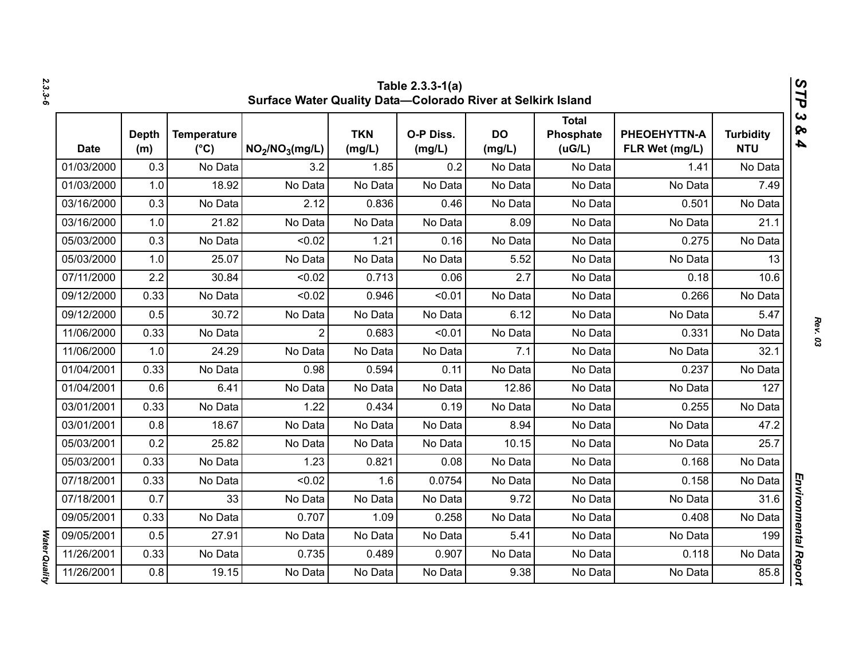|             | Table 2.3.3-1(a)<br>V,<br>Surface Water Quality Data-Colorado River at Selkirk Island<br>٦ |                                     |                                         |                      |                     |                     |                                     |                                |                                |  |  |
|-------------|--------------------------------------------------------------------------------------------|-------------------------------------|-----------------------------------------|----------------------|---------------------|---------------------|-------------------------------------|--------------------------------|--------------------------------|--|--|
| <b>Date</b> | <b>Depth</b><br>(m)                                                                        | <b>Temperature</b><br>$(^{\circ}C)$ | NO <sub>2</sub> /NO <sub>3</sub> (mg/L) | <b>TKN</b><br>(mg/L) | O-P Diss.<br>(mg/L) | <b>DO</b><br>(mg/L) | <b>Total</b><br>Phosphate<br>(UG/L) | PHEOEHYTTN-A<br>FLR Wet (mg/L) | <b>Turbidity</b><br><b>NTU</b> |  |  |
| 01/03/2000  | 0.3                                                                                        | No Data                             | 3.2                                     | 1.85                 | 0.2                 | No Data             | No Data                             | 1.41                           | No Data                        |  |  |
| 01/03/2000  | 1.0                                                                                        | 18.92                               | No Data                                 | No Data              | No Data             | No Data             | No Data                             | No Data                        | 7.49                           |  |  |
| 03/16/2000  | 0.3                                                                                        | No Data                             | 2.12                                    | 0.836                | 0.46                | No Data             | No Data                             | 0.501                          | No Data                        |  |  |
| 03/16/2000  | 1.0                                                                                        | 21.82                               | No Data                                 | No Data              | No Data             | 8.09                | No Data                             | No Data                        | 21.1                           |  |  |
| 05/03/2000  | 0.3                                                                                        | No Data                             | < 0.02                                  | 1.21                 | 0.16                | No Data             | No Data                             | 0.275                          | No Data                        |  |  |
| 05/03/2000  | 1.0                                                                                        | 25.07                               | No Data                                 | No Data              | No Data             | 5.52                | No Data                             | No Data                        | 13                             |  |  |
| 07/11/2000  | 2.2                                                                                        | 30.84                               | < 0.02                                  | 0.713                | 0.06                | 2.7                 | No Data                             | 0.18                           | 10.6                           |  |  |
| 09/12/2000  | 0.33                                                                                       | No Data                             | < 0.02                                  | 0.946                | < 0.01              | No Data             | No Data                             | 0.266                          | No Data                        |  |  |
| 09/12/2000  | 0.5                                                                                        | 30.72                               | No Data                                 | No Data              | No Data             | 6.12                | No Data                             | No Data                        | 5.47                           |  |  |
| 11/06/2000  | 0.33                                                                                       | No Data                             | $\overline{2}$                          | 0.683                | < 0.01              | No Data             | No Data                             | 0.331                          | No Data                        |  |  |
| 11/06/2000  | 1.0                                                                                        | 24.29                               | No Data                                 | No Data              | No Data             | 7.1                 | No Data                             | No Data                        | 32.1                           |  |  |
| 01/04/2001  | 0.33                                                                                       | No Data                             | 0.98                                    | 0.594                | 0.11                | No Data             | No Data                             | 0.237                          | No Data                        |  |  |
| 01/04/2001  | 0.6                                                                                        | 6.41                                | No Data                                 | No Data              | No Data             | 12.86               | No Data                             | No Data                        | 127                            |  |  |
| 03/01/2001  | 0.33                                                                                       | No Data                             | 1.22                                    | 0.434                | 0.19                | No Data             | No Data                             | 0.255                          | No Data                        |  |  |
| 03/01/2001  | 0.8                                                                                        | 18.67                               | No Data                                 | No Data              | No Data             | 8.94                | No Data                             | No Data                        | 47.2                           |  |  |
| 05/03/2001  | 0.2                                                                                        | 25.82                               | No Data                                 | No Data              | No Data             | 10.15               | No Data                             | No Data                        | 25.7                           |  |  |
| 05/03/2001  | 0.33                                                                                       | No Data                             | 1.23                                    | 0.821                | 0.08                | No Data             | No Data                             | 0.168                          | No Data                        |  |  |
| 07/18/2001  | 0.33                                                                                       | No Data                             | < 0.02                                  | 1.6                  | 0.0754              | No Data             | No Data                             | 0.158                          | No Data                        |  |  |
| 07/18/2001  | 0.7                                                                                        | 33                                  | No Data                                 | No Data              | No Data             | 9.72                | No Data                             | No Data                        | 31.6                           |  |  |
| 09/05/2001  | 0.33                                                                                       | No Data                             | 0.707                                   | 1.09                 | 0.258               | No Data             | No Data                             | 0.408                          | No Data                        |  |  |
| 09/05/2001  | 0.5                                                                                        | 27.91                               | No Data                                 | No Data              | No Data             | 5.41                | No Data                             | No Data                        | 199                            |  |  |
| 11/26/2001  | 0.33                                                                                       | No Data                             | 0.735                                   | 0.489                | 0.907               | No Data             | No Data                             | 0.118                          | No Data                        |  |  |
| 11/26/2001  | 0.8                                                                                        | 19.15                               | No Data                                 | No Data              | No Data             | 9.38                | No Data                             | No Data                        | 85.8                           |  |  |

*2.3.3-6*

*Rev. 03*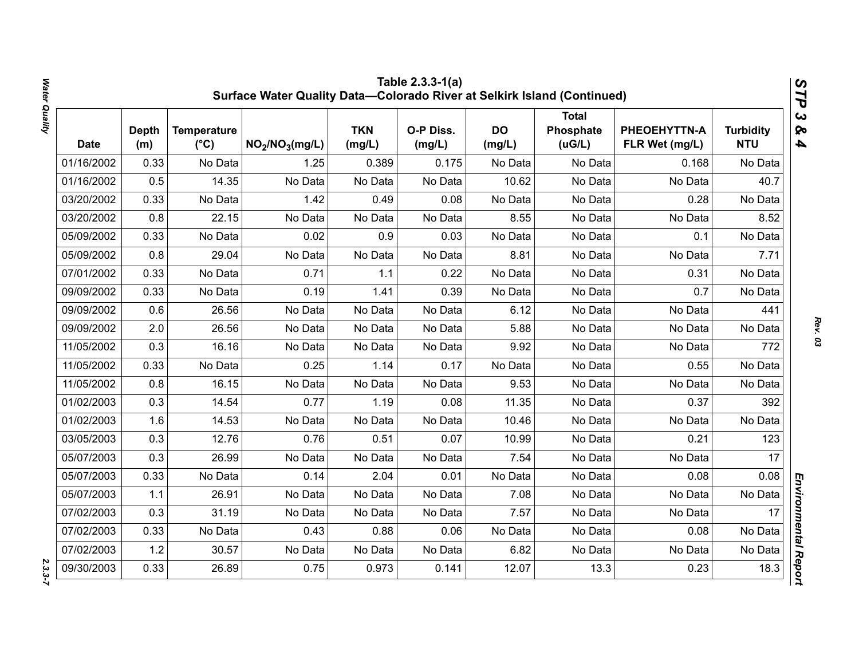|            | Table 2.3.3-1(a)<br>STP<br>Surface Water Quality Data-Colorado River at Selkirk Island (Continued) |                                     |                                         |                      |                     |                     |                                     |                                |                                |                                                  |  |
|------------|----------------------------------------------------------------------------------------------------|-------------------------------------|-----------------------------------------|----------------------|---------------------|---------------------|-------------------------------------|--------------------------------|--------------------------------|--------------------------------------------------|--|
| Date       | <b>Depth</b><br>(m)                                                                                | <b>Temperature</b><br>$(^{\circ}C)$ | NO <sub>2</sub> /NO <sub>3</sub> (mg/L) | <b>TKN</b><br>(mg/L) | O-P Diss.<br>(mg/L) | <b>DO</b><br>(mg/L) | <b>Total</b><br>Phosphate<br>(uG/L) | PHEOEHYTTN-A<br>FLR Wet (mg/L) | <b>Turbidity</b><br><b>NTU</b> | $\boldsymbol{\omega}$<br>ନ୍ତ<br>$\blacktriangle$ |  |
| 01/16/2002 | 0.33                                                                                               | No Data                             | 1.25                                    | 0.389                | 0.175               | No Data             | No Data                             | 0.168                          | No Data                        |                                                  |  |
| 01/16/2002 | 0.5                                                                                                | 14.35                               | No Data                                 | No Data              | No Data             | 10.62               | No Data                             | No Data                        | 40.7                           |                                                  |  |
| 03/20/2002 | 0.33                                                                                               | No Data                             | 1.42                                    | 0.49                 | 0.08                | No Data             | No Data                             | 0.28                           | No Data                        |                                                  |  |
| 03/20/2002 | 0.8                                                                                                | 22.15                               | No Data                                 | No Data              | No Data             | 8.55                | No Data                             | No Data                        | 8.52                           |                                                  |  |
| 05/09/2002 | 0.33                                                                                               | No Data                             | 0.02                                    | 0.9                  | 0.03                | No Data             | No Data                             | 0.1                            | No Data                        |                                                  |  |
| 05/09/2002 | 0.8                                                                                                | 29.04                               | No Data                                 | No Data              | No Data             | 8.81                | No Data                             | No Data                        | 7.71                           |                                                  |  |
| 07/01/2002 | 0.33                                                                                               | No Data                             | 0.71                                    | 1.1                  | 0.22                | No Data             | No Data                             | 0.31                           | No Data                        |                                                  |  |
| 09/09/2002 | 0.33                                                                                               | No Data                             | 0.19                                    | 1.41                 | 0.39                | No Data             | No Data                             | 0.7                            | No Data                        |                                                  |  |
| 09/09/2002 | 0.6                                                                                                | 26.56                               | No Data                                 | No Data              | No Data             | 6.12                | No Data                             | No Data                        | 441                            |                                                  |  |
| 09/09/2002 | 2.0                                                                                                | 26.56                               | No Data                                 | No Data              | No Data             | 5.88                | No Data                             | No Data                        | No Data                        |                                                  |  |
| 11/05/2002 | 0.3                                                                                                | 16.16                               | No Data                                 | No Data              | No Data             | 9.92                | No Data                             | No Data                        | 772                            |                                                  |  |
| 11/05/2002 | 0.33                                                                                               | No Data                             | 0.25                                    | 1.14                 | 0.17                | No Data             | No Data                             | 0.55                           | No Data                        |                                                  |  |
| 11/05/2002 | 0.8                                                                                                | 16.15                               | No Data                                 | No Data              | No Data             | 9.53                | No Data                             | No Data                        | No Data                        |                                                  |  |
| 01/02/2003 | 0.3                                                                                                | 14.54                               | 0.77                                    | 1.19                 | 0.08                | 11.35               | No Data                             | 0.37                           | 392                            |                                                  |  |
| 01/02/2003 | 1.6                                                                                                | 14.53                               | No Data                                 | No Data              | No Data             | 10.46               | No Data                             | No Data                        | No Data                        |                                                  |  |
| 03/05/2003 | 0.3                                                                                                | 12.76                               | 0.76                                    | 0.51                 | 0.07                | 10.99               | No Data                             | 0.21                           | 123                            |                                                  |  |
| 05/07/2003 | 0.3                                                                                                | 26.99                               | No Data                                 | No Data              | No Data             | 7.54                | No Data                             | No Data                        | 17                             |                                                  |  |
| 05/07/2003 | 0.33                                                                                               | No Data                             | 0.14                                    | 2.04                 | 0.01                | No Data             | No Data                             | 0.08                           | 0.08                           |                                                  |  |
| 05/07/2003 | 1.1                                                                                                | 26.91                               | No Data                                 | No Data              | No Data             | 7.08                | No Data                             | No Data                        | No Data                        |                                                  |  |
| 07/02/2003 | 0.3                                                                                                | 31.19                               | No Data                                 | No Data              | No Data             | 7.57                | No Data                             | No Data                        | 17                             |                                                  |  |
| 07/02/2003 | 0.33                                                                                               | No Data                             | 0.43                                    | 0.88                 | 0.06                | No Data             | No Data                             | 0.08                           | No Data                        |                                                  |  |
| 07/02/2003 | 1.2                                                                                                | 30.57                               | No Data                                 | No Data              | No Data             | 6.82                | No Data                             | No Data                        | No Data                        |                                                  |  |
| 09/30/2003 | 0.33                                                                                               | 26.89                               | 0.75                                    | 0.973                | 0.141               | 12.07               | 13.3                                | 0.23                           | 18.3                           | Environmental Report                             |  |

*Water Quality 2.3.3-7*  $2.3.3 - 7$ 

Water Quality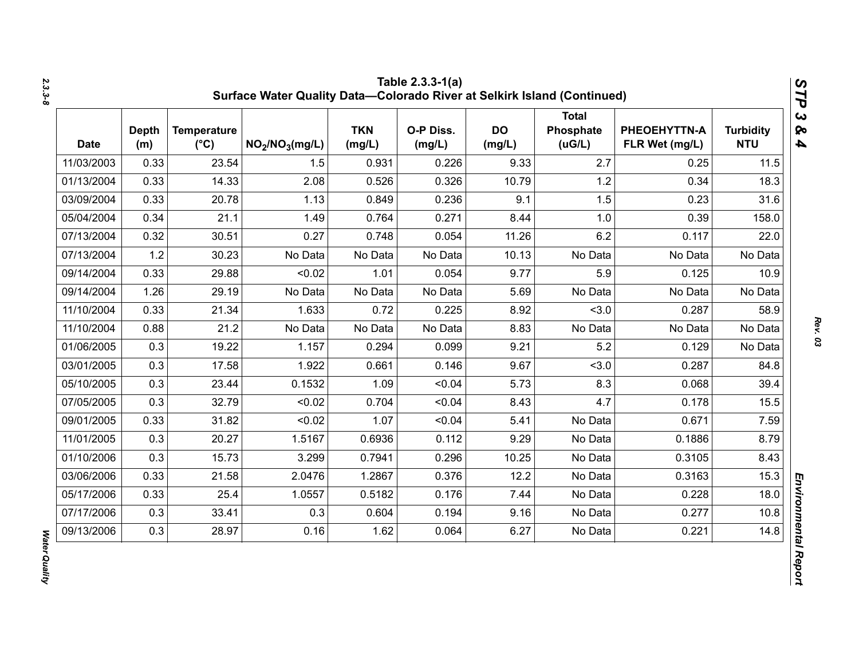| <b>Date</b> | <b>Depth</b><br>(m) | <b>Temperature</b><br>$(^{\circ}C)$ | NO <sub>2</sub> /NO <sub>3</sub> (mg/L) | <b>TKN</b><br>(mg/L) | O-P Diss.<br>(mg/L) | <b>DO</b><br>(mg/L) | <b>Total</b><br>Phosphate<br>(UG/L) | PHEOEHYTTN-A<br>FLR Wet (mg/L) | <b>Turbidity</b><br><b>NTU</b> |
|-------------|---------------------|-------------------------------------|-----------------------------------------|----------------------|---------------------|---------------------|-------------------------------------|--------------------------------|--------------------------------|
| 11/03/2003  | 0.33                | 23.54                               | 1.5                                     | 0.931                | 0.226               | 9.33                | 2.7                                 | 0.25                           | 11.5                           |
| 01/13/2004  | 0.33                | 14.33                               | 2.08                                    | 0.526                | 0.326               | 10.79               | 1.2                                 | 0.34                           | 18.3                           |
| 03/09/2004  | 0.33                | 20.78                               | 1.13                                    | 0.849                | 0.236               | 9.1                 | 1.5                                 | 0.23                           | 31.6                           |
| 05/04/2004  | 0.34                | 21.1                                | 1.49                                    | 0.764                | 0.271               | 8.44                | 1.0                                 | 0.39                           | 158.0                          |
| 07/13/2004  | 0.32                | 30.51                               | 0.27                                    | 0.748                | 0.054               | 11.26               | 6.2                                 | 0.117                          | 22.0                           |
| 07/13/2004  | 1.2                 | 30.23                               | No Data                                 | No Data              | No Data             | 10.13               | No Data                             | No Data                        | No Data                        |
| 09/14/2004  | 0.33                | 29.88                               | < 0.02                                  | 1.01                 | 0.054               | 9.77                | 5.9                                 | 0.125                          | 10.9                           |
| 09/14/2004  | 1.26                | 29.19                               | No Data                                 | No Data              | No Data             | 5.69                | No Data                             | No Data                        | No Data                        |
| 11/10/2004  | 0.33                | 21.34                               | 1.633                                   | 0.72                 | 0.225               | 8.92                | < 3.0                               | 0.287                          | 58.9                           |
| 11/10/2004  | 0.88                | 21.2                                | No Data                                 | No Data              | No Data             | 8.83                | No Data                             | No Data                        | No Data                        |
| 01/06/2005  | 0.3                 | 19.22                               | 1.157                                   | 0.294                | 0.099               | 9.21                | 5.2                                 | 0.129                          | No Data                        |
| 03/01/2005  | 0.3                 | 17.58                               | 1.922                                   | 0.661                | 0.146               | 9.67                | < 3.0                               | 0.287                          | 84.8                           |
| 05/10/2005  | 0.3                 | 23.44                               | 0.1532                                  | 1.09                 | < 0.04              | 5.73                | 8.3                                 | 0.068                          | 39.4                           |
| 07/05/2005  | 0.3                 | 32.79                               | < 0.02                                  | 0.704                | < 0.04              | 8.43                | 4.7                                 | 0.178                          | 15.5                           |
| 09/01/2005  | 0.33                | 31.82                               | < 0.02                                  | 1.07                 | < 0.04              | 5.41                | No Data                             | 0.671                          | 7.59                           |
| 11/01/2005  | 0.3                 | 20.27                               | 1.5167                                  | 0.6936               | 0.112               | 9.29                | No Data                             | 0.1886                         | 8.79                           |
| 01/10/2006  | 0.3                 | 15.73                               | 3.299                                   | 0.7941               | 0.296               | 10.25               | No Data                             | 0.3105                         | 8.43                           |
| 03/06/2006  | 0.33                | 21.58                               | 2.0476                                  | 1.2867               | 0.376               | 12.2                | No Data                             | 0.3163                         | 15.3                           |
| 05/17/2006  | 0.33                | 25.4                                | 1.0557                                  | 0.5182               | 0.176               | 7.44                | No Data                             | 0.228                          | 18.0                           |
| 07/17/2006  | 0.3                 | 33.41                               | 0.3                                     | 0.604                | 0.194               | 9.16                | No Data                             | 0.277                          | 10.8                           |
| 09/13/2006  | 0.3                 | 28.97                               | 0.16                                    | 1.62                 | 0.064               | 6.27                | No Data                             | 0.221                          | 14.8                           |

Water Quality *Water Quality*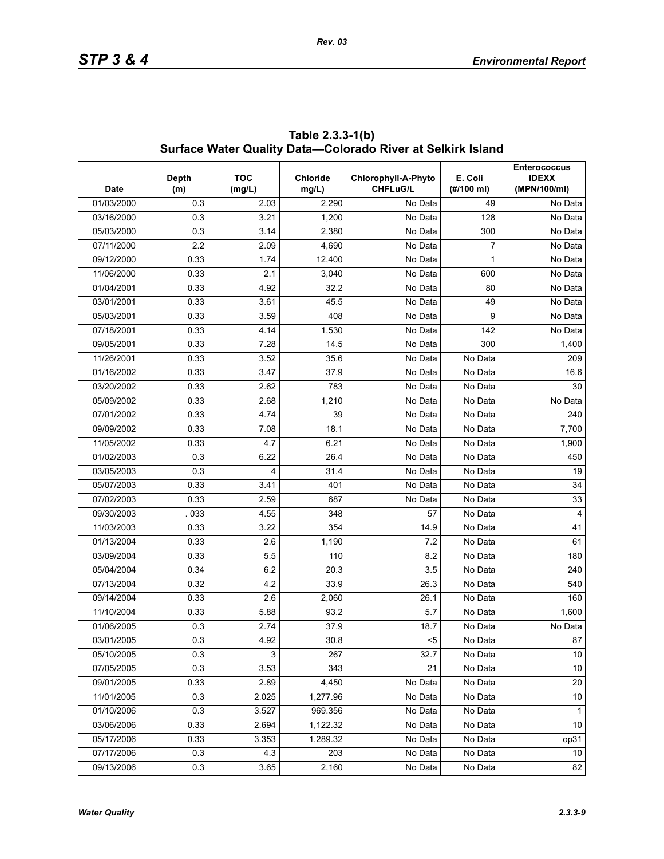| <b>Date</b> | <b>Depth</b><br>(m) | <b>TOC</b><br>(mq/L) | Chloride<br>mg/L) | Chlorophyll-A-Phyto<br><b>CHFLuG/L</b> | E. Coli<br>(#/100 ml) | <b>Enterococcus</b><br><b>IDEXX</b><br>(MPN/100/ml) |  |  |
|-------------|---------------------|----------------------|-------------------|----------------------------------------|-----------------------|-----------------------------------------------------|--|--|
| 01/03/2000  | 0.3                 | 2.03                 | 2,290             | No Data                                | 49                    | No Data                                             |  |  |
| 03/16/2000  | 0.3                 | 3.21                 | 1,200             | No Data                                | 128                   | No Data                                             |  |  |
| 05/03/2000  | 0.3                 | 3.14                 | 2,380             | No Data                                | 300                   | No Data                                             |  |  |
| 07/11/2000  | 2.2                 | 2.09                 | 4,690             | No Data                                | 7                     | No Data                                             |  |  |
| 09/12/2000  | 0.33                | 1.74                 | 12,400            | No Data                                | 1                     | No Data                                             |  |  |
| 11/06/2000  | 0.33                | 2.1                  | 3,040             | No Data                                | 600                   | No Data                                             |  |  |
| 01/04/2001  | 0.33                | 4.92                 | 32.2              | No Data                                | 80                    | No Data                                             |  |  |
| 03/01/2001  | 0.33                | 3.61                 | 45.5              | No Data                                | 49                    | No Data                                             |  |  |
| 05/03/2001  | 0.33                | 3.59                 | 408               | No Data                                | 9                     | No Data                                             |  |  |
| 07/18/2001  | 0.33                | 4.14                 | 1,530             | No Data                                | 142                   | No Data                                             |  |  |
| 09/05/2001  | 0.33                | 7.28                 | 14.5              | No Data                                | 300                   | 1,400                                               |  |  |
| 11/26/2001  | 0.33                | 3.52                 | 35.6              | No Data                                | No Data               | 209                                                 |  |  |
| 01/16/2002  | 0.33                | 3.47                 | 37.9              | No Data                                | No Data               | 16.6                                                |  |  |
| 03/20/2002  | 0.33                | 2.62                 | 783               | No Data                                | No Data               | 30                                                  |  |  |
| 05/09/2002  | 0.33                | 2.68                 | 1,210             | No Data                                | No Data               | No Data                                             |  |  |
| 07/01/2002  | 0.33                | 4.74                 | 39                | No Data                                | No Data               | 240                                                 |  |  |
| 09/09/2002  | 0.33                | 7.08                 | 18.1              | No Data                                | No Data               | 7,700                                               |  |  |
| 11/05/2002  | 0.33                | 4.7                  | 6.21              | No Data                                | No Data               | 1,900                                               |  |  |
| 01/02/2003  | 0.3                 | 6.22                 | 26.4              | No Data                                | No Data               | 450                                                 |  |  |
| 03/05/2003  | 0.3                 | 4                    | 31.4              | No Data                                | No Data               | 19                                                  |  |  |
| 05/07/2003  | 0.33                | 3.41                 | 401               | No Data                                | No Data               | 34                                                  |  |  |
| 07/02/2003  | 0.33                | 2.59                 | 687               | No Data                                | No Data               | 33                                                  |  |  |
| 09/30/2003  | .033                | 4.55                 | 348               | 57                                     | No Data               | $\overline{4}$                                      |  |  |
| 11/03/2003  | 0.33                | 3.22                 | 354               | 14.9                                   | No Data               | 41                                                  |  |  |
| 01/13/2004  | 0.33                | 2.6                  | 1,190             | 7.2                                    | No Data               | 61                                                  |  |  |
| 03/09/2004  | 0.33                | 5.5                  | 110               | 8.2                                    | No Data               | 180                                                 |  |  |
| 05/04/2004  | 0.34                | 6.2                  | 20.3              | 3.5                                    | No Data               | 240                                                 |  |  |
| 07/13/2004  | 0.32                | 4.2                  | 33.9              | 26.3                                   | No Data               | 540                                                 |  |  |
| 09/14/2004  | 0.33                | 2.6                  | 2,060             | 26.1                                   | No Data               | 160                                                 |  |  |
| 11/10/2004  | 0.33                | 5.88                 | 93.2              | 5.7                                    | No Data               | 1,600                                               |  |  |
| 01/06/2005  | 0.3                 | 2.74                 | 37.9              | 18.7                                   | No Data               | No Data                                             |  |  |
| 03/01/2005  | 0.3                 | 4.92                 | 30.8              | $5$                                    | No Data               | 87                                                  |  |  |
| 05/10/2005  | 0.3                 | $\mathsf 3$          | 267               | 32.7                                   | No Data               | 10                                                  |  |  |
| 07/05/2005  | 0.3                 | 3.53                 | 343               | 21                                     | No Data               | 10                                                  |  |  |
| 09/01/2005  | 0.33                | 2.89                 | 4,450             | No Data                                | No Data               | 20                                                  |  |  |
| 11/01/2005  | 0.3                 | 2.025                | 1,277.96          | No Data                                | No Data               | 10                                                  |  |  |
| 01/10/2006  | 0.3                 | 3.527                | 969.356           | No Data                                | No Data               | $\mathbf 1$                                         |  |  |
| 03/06/2006  | 0.33                | 2.694                | 1,122.32          | No Data                                | No Data               | $10$                                                |  |  |
| 05/17/2006  | 0.33                | 3.353                | 1,289.32          | No Data                                | No Data               | op31                                                |  |  |
| 07/17/2006  | 0.3                 | 4.3                  | 203               | No Data                                | No Data               | 10                                                  |  |  |
| 09/13/2006  | 0.3                 | 3.65                 | 2,160             | No Data                                | No Data               | 82                                                  |  |  |

**Table 2.3.3-1(b) Surface Water Quality Data—Colorado River at Selkirk Island**

*Rev. 03*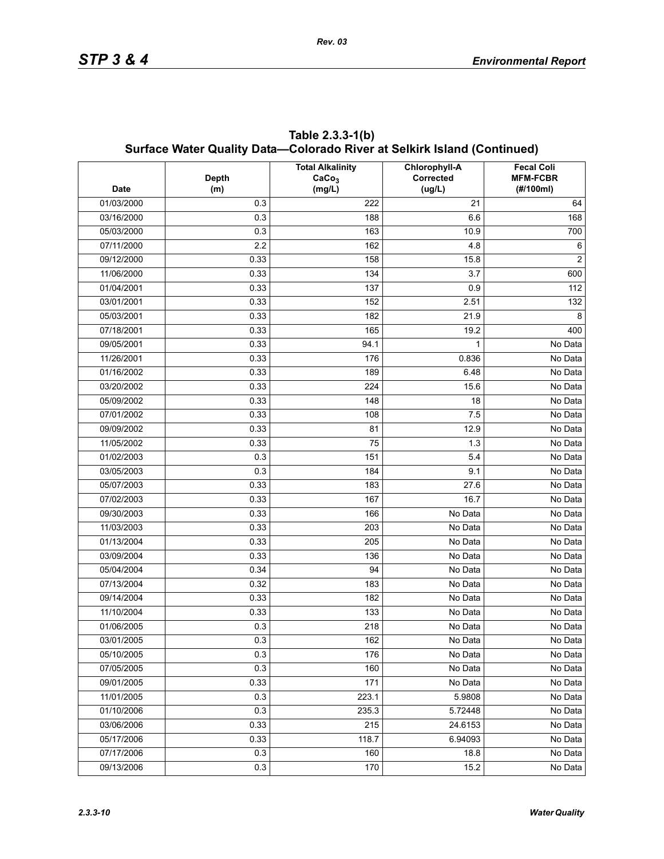|             | Surface Water Quality Data—Colorado River at Selkirk Island (Continued) |                                                        |                                      |                                                   |  |  |  |  |  |  |
|-------------|-------------------------------------------------------------------------|--------------------------------------------------------|--------------------------------------|---------------------------------------------------|--|--|--|--|--|--|
| <b>Date</b> | <b>Depth</b><br>(m)                                                     | <b>Total Alkalinity</b><br>CaCo <sub>3</sub><br>(mg/L) | Chlorophyll-A<br>Corrected<br>(ug/L) | <b>Fecal Coli</b><br><b>MFM-FCBR</b><br>(#/100ml) |  |  |  |  |  |  |
| 01/03/2000  | 0.3                                                                     | 222                                                    | 21                                   | 64                                                |  |  |  |  |  |  |
| 03/16/2000  | 0.3                                                                     | 188                                                    | 6.6                                  | 168                                               |  |  |  |  |  |  |
| 05/03/2000  | 0.3                                                                     | 163                                                    | 10.9                                 | 700                                               |  |  |  |  |  |  |
| 07/11/2000  | 2.2                                                                     | 162                                                    | 4.8                                  | 6                                                 |  |  |  |  |  |  |
| 09/12/2000  | 0.33                                                                    | 158                                                    | 15.8                                 | 2                                                 |  |  |  |  |  |  |
| 11/06/2000  | 0.33                                                                    | 134                                                    | 3.7                                  | 600                                               |  |  |  |  |  |  |
| 01/04/2001  | 0.33                                                                    | 137                                                    | 0.9                                  | 112                                               |  |  |  |  |  |  |
| 03/01/2001  | 0.33                                                                    | 152                                                    | 2.51                                 | 132                                               |  |  |  |  |  |  |
| 05/03/2001  | 0.33                                                                    | 182                                                    | 21.9                                 | 8                                                 |  |  |  |  |  |  |
| 07/18/2001  | 0.33                                                                    | 165                                                    | 19.2                                 | 400                                               |  |  |  |  |  |  |
| 09/05/2001  | 0.33                                                                    | 94.1                                                   | 1                                    | No Data                                           |  |  |  |  |  |  |
| 11/26/2001  | 0.33                                                                    | 176                                                    | 0.836                                | No Data                                           |  |  |  |  |  |  |
| 01/16/2002  | 0.33                                                                    | 189                                                    | 6.48                                 | No Data                                           |  |  |  |  |  |  |
| 03/20/2002  | 0.33                                                                    | 224                                                    | 15.6                                 | No Data                                           |  |  |  |  |  |  |
| 05/09/2002  | 0.33                                                                    | 148                                                    | 18                                   | No Data                                           |  |  |  |  |  |  |
| 07/01/2002  | 0.33                                                                    | 108                                                    | 7.5                                  | No Data                                           |  |  |  |  |  |  |
| 09/09/2002  | 0.33                                                                    | 81                                                     | 12.9                                 | No Data                                           |  |  |  |  |  |  |
| 11/05/2002  | 0.33                                                                    | 75                                                     | 1.3                                  | No Data                                           |  |  |  |  |  |  |
| 01/02/2003  | 0.3                                                                     | 151                                                    | 5.4                                  | No Data                                           |  |  |  |  |  |  |
| 03/05/2003  | 0.3                                                                     | 184                                                    | 9.1                                  | No Data                                           |  |  |  |  |  |  |
| 05/07/2003  | 0.33                                                                    | 183                                                    | 27.6                                 | No Data                                           |  |  |  |  |  |  |
| 07/02/2003  | 0.33                                                                    | 167                                                    | 16.7                                 | No Data                                           |  |  |  |  |  |  |
| 09/30/2003  | 0.33                                                                    | 166                                                    | No Data                              | No Data                                           |  |  |  |  |  |  |
| 11/03/2003  | 0.33                                                                    | 203                                                    | No Data                              | No Data                                           |  |  |  |  |  |  |
| 01/13/2004  | 0.33                                                                    | 205                                                    | No Data                              | No Data                                           |  |  |  |  |  |  |
| 03/09/2004  | 0.33                                                                    | 136                                                    | No Data                              | No Data                                           |  |  |  |  |  |  |
| 05/04/2004  | 0.34                                                                    | 94                                                     | No Data                              | No Data                                           |  |  |  |  |  |  |
| 07/13/2004  | 0.32                                                                    | 183                                                    | No Data                              | No Data                                           |  |  |  |  |  |  |
| 09/14/2004  | 0.33                                                                    | 182                                                    | No Data                              | No Data                                           |  |  |  |  |  |  |
| 11/10/2004  | 0.33                                                                    | 133                                                    | No Data                              | No Data                                           |  |  |  |  |  |  |
| 01/06/2005  | 0.3                                                                     | 218                                                    | No Data                              | No Data                                           |  |  |  |  |  |  |
| 03/01/2005  | 0.3                                                                     | 162                                                    | No Data                              | No Data                                           |  |  |  |  |  |  |
| 05/10/2005  | 0.3                                                                     | 176                                                    | No Data                              | No Data                                           |  |  |  |  |  |  |
| 07/05/2005  | 0.3                                                                     | 160                                                    | No Data                              | No Data                                           |  |  |  |  |  |  |
| 09/01/2005  | 0.33                                                                    | 171                                                    | No Data                              | No Data                                           |  |  |  |  |  |  |
| 11/01/2005  | 0.3                                                                     | 223.1                                                  | 5.9808                               | No Data                                           |  |  |  |  |  |  |
| 01/10/2006  | 0.3                                                                     | 235.3                                                  | 5.72448                              | No Data                                           |  |  |  |  |  |  |
| 03/06/2006  | 0.33                                                                    | 215                                                    | 24.6153                              | No Data                                           |  |  |  |  |  |  |
| 05/17/2006  | 0.33                                                                    | 118.7                                                  | 6.94093                              | No Data                                           |  |  |  |  |  |  |
| 07/17/2006  | 0.3                                                                     | 160                                                    | 18.8                                 | No Data                                           |  |  |  |  |  |  |
| 09/13/2006  | 0.3                                                                     | 170                                                    | 15.2                                 | No Data                                           |  |  |  |  |  |  |

**Table 2.3.3-1(b) Surface Water Quality Data—Colorado River at Selkirk Island (Continued)**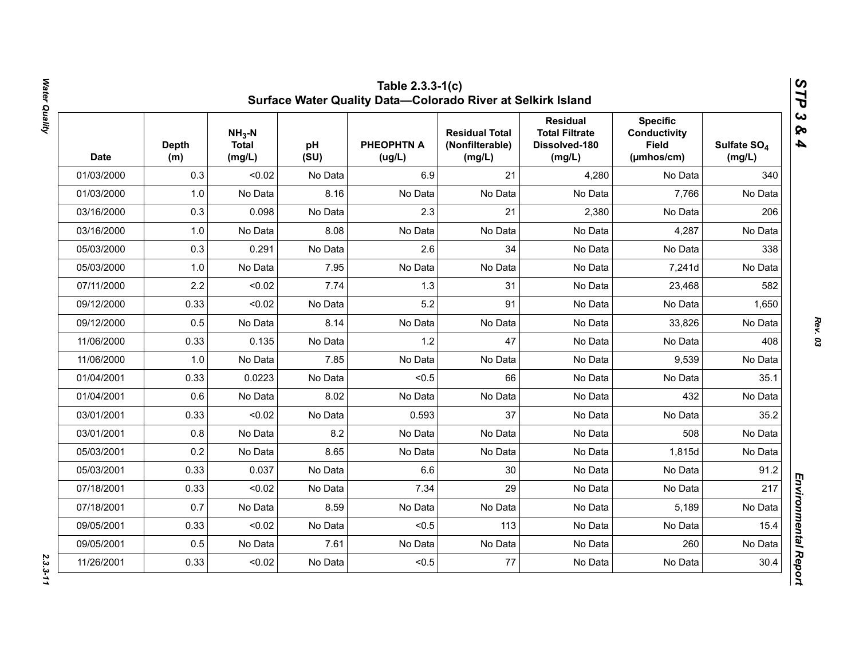| <b>Date</b> | <b>Depth</b><br>(m) | $NH3-N$<br><b>Total</b><br>(mg/L) | pH<br>(SU) | <b>PHEOPHTN A</b><br>(ug/L) | <b>Residual Total</b><br>(Nonfilterable)<br>(mg/L) | <b>Residual</b><br><b>Total Filtrate</b><br>Dissolved-180<br>(mg/L) | <b>Specific</b><br><b>Conductivity</b><br><b>Field</b><br>(µmhos/cm) | Sulfate SO <sub>4</sub><br>(mg/L) |
|-------------|---------------------|-----------------------------------|------------|-----------------------------|----------------------------------------------------|---------------------------------------------------------------------|----------------------------------------------------------------------|-----------------------------------|
| 01/03/2000  | 0.3                 | < 0.02                            | No Data    | 6.9                         | 21                                                 | 4,280                                                               | No Data                                                              | 340                               |
| 01/03/2000  | 1.0                 | No Data                           | 8.16       | No Data                     | No Data                                            | No Data                                                             | 7,766                                                                | No Data                           |
| 03/16/2000  | 0.3                 | 0.098                             | No Data    | 2.3                         | 21                                                 | 2,380                                                               | No Data                                                              | 206                               |
| 03/16/2000  | 1.0                 | No Data                           | 8.08       | No Data                     | No Data                                            | No Data                                                             | 4,287                                                                | No Data                           |
| 05/03/2000  | 0.3                 | 0.291                             | No Data    | 2.6                         | 34                                                 | No Data                                                             | No Data                                                              | 338                               |
| 05/03/2000  | 1.0                 | No Data                           | 7.95       | No Data                     | No Data                                            | No Data                                                             | 7,241d                                                               | No Data                           |
| 07/11/2000  | 2.2                 | < 0.02                            | 7.74       | 1.3                         | 31                                                 | No Data                                                             | 23,468                                                               | 582                               |
| 09/12/2000  | 0.33                | < 0.02                            | No Data    | 5.2                         | 91                                                 | No Data                                                             | No Data                                                              | 1,650                             |
| 09/12/2000  | 0.5                 | No Data                           | 8.14       | No Data                     | No Data                                            | No Data                                                             | 33,826                                                               | No Data                           |
| 11/06/2000  | 0.33                | 0.135                             | No Data    | 1.2                         | 47                                                 | No Data                                                             | No Data                                                              | 408                               |
| 11/06/2000  | 1.0                 | No Data                           | 7.85       | No Data                     | No Data                                            | No Data                                                             | 9,539                                                                | No Data                           |
| 01/04/2001  | 0.33                | 0.0223                            | No Data    | < 0.5                       | 66                                                 | No Data                                                             | No Data                                                              | 35.1                              |
| 01/04/2001  | 0.6                 | No Data                           | 8.02       | No Data                     | No Data                                            | No Data                                                             | 432                                                                  | No Data                           |
| 03/01/2001  | 0.33                | < 0.02                            | No Data    | 0.593                       | 37                                                 | No Data                                                             | No Data                                                              | 35.2                              |
| 03/01/2001  | 0.8                 | No Data                           | 8.2        | No Data                     | No Data                                            | No Data                                                             | 508                                                                  | No Data                           |
| 05/03/2001  | 0.2                 | No Data                           | 8.65       | No Data                     | No Data                                            | No Data                                                             | 1,815d                                                               | No Data                           |
| 05/03/2001  | 0.33                | 0.037                             | No Data    | 6.6                         | 30                                                 | No Data                                                             | No Data                                                              | 91.2                              |
| 07/18/2001  | 0.33                | < 0.02                            | No Data    | 7.34                        | 29                                                 | No Data                                                             | No Data                                                              | 217                               |
| 07/18/2001  | 0.7                 | No Data                           | 8.59       | No Data                     | No Data                                            | No Data                                                             | 5,189                                                                | No Data                           |
| 09/05/2001  | 0.33                | < 0.02                            | No Data    | < 0.5                       | 113                                                | No Data                                                             | No Data                                                              | 15.4                              |
| 09/05/2001  | 0.5                 | No Data                           | 7.61       | No Data                     | No Data                                            | No Data                                                             | 260                                                                  | No Data                           |
| 11/26/2001  | 0.33                | < 0.02                            | No Data    | < 0.5                       | 77                                                 | No Data                                                             | No Data                                                              | 30.4                              |

Water Quality *Water Quality 2.3.3-11*

*Rev. 03*

 $2.3.3 - 11$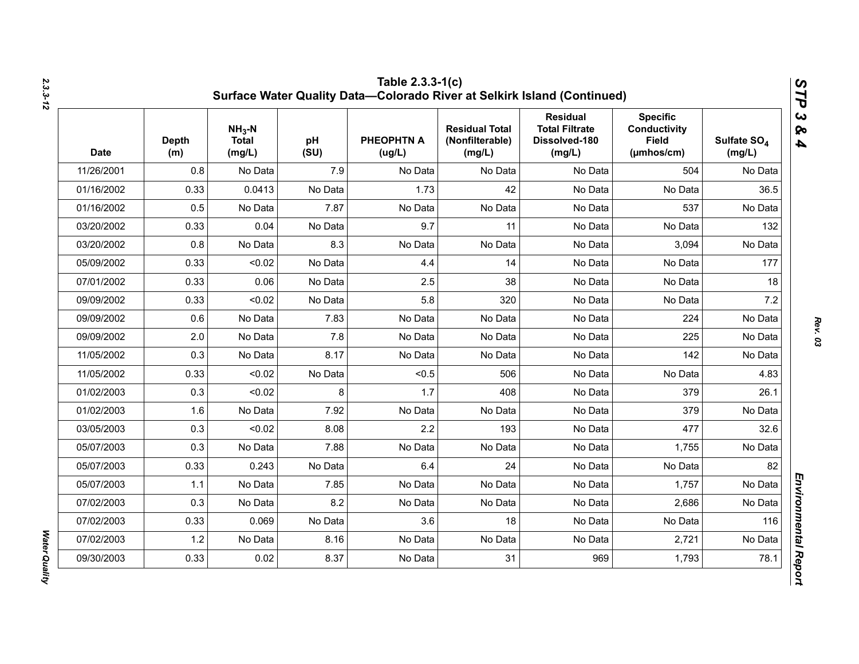| <b>Date</b> | <b>Depth</b><br>(m) | $NH3-N$<br><b>Total</b><br>(mg/L) | pH<br>(SU) | <b>PHEOPHTN A</b><br>(ug/L) | <b>Residual Total</b><br>(Nonfilterable)<br>(mg/L) | <b>Residual</b><br><b>Total Filtrate</b><br>Dissolved-180<br>(mg/L) | <b>Specific</b><br><b>Conductivity</b><br><b>Field</b><br>$(\mu m \text{hos/cm})$ | Sulfate SO <sub>4</sub><br>(mg/L) |
|-------------|---------------------|-----------------------------------|------------|-----------------------------|----------------------------------------------------|---------------------------------------------------------------------|-----------------------------------------------------------------------------------|-----------------------------------|
| 11/26/2001  | 0.8                 | No Data                           | 7.9        | No Data                     | No Data                                            | No Data                                                             | 504                                                                               | No Data                           |
| 01/16/2002  | 0.33                | 0.0413                            | No Data    | 1.73                        | 42                                                 | No Data                                                             | No Data                                                                           | 36.5                              |
| 01/16/2002  | 0.5                 | No Data                           | 7.87       | No Data                     | No Data                                            | No Data                                                             | 537                                                                               | No Data                           |
| 03/20/2002  | 0.33                | 0.04                              | No Data    | 9.7                         | 11                                                 | No Data                                                             | No Data                                                                           | 132                               |
| 03/20/2002  | 0.8                 | No Data                           | 8.3        | No Data                     | No Data                                            | No Data                                                             | 3,094                                                                             | No Data                           |
| 05/09/2002  | 0.33                | < 0.02                            | No Data    | 4.4                         | 14                                                 | No Data                                                             | No Data                                                                           | 177                               |
| 07/01/2002  | 0.33                | 0.06                              | No Data    | 2.5                         | 38                                                 | No Data                                                             | No Data                                                                           | 18                                |
| 09/09/2002  | 0.33                | < 0.02                            | No Data    | 5.8                         | 320                                                | No Data                                                             | No Data                                                                           | 7.2                               |
| 09/09/2002  | 0.6                 | No Data                           | 7.83       | No Data                     | No Data                                            | No Data                                                             | 224                                                                               | No Data                           |
| 09/09/2002  | 2.0                 | No Data                           | 7.8        | No Data                     | No Data                                            | No Data                                                             | 225                                                                               | No Data                           |
| 11/05/2002  | 0.3                 | No Data                           | 8.17       | No Data                     | No Data                                            | No Data                                                             | 142                                                                               | No Data                           |
| 11/05/2002  | 0.33                | < 0.02                            | No Data    | < 0.5                       | 506                                                | No Data                                                             | No Data                                                                           | 4.83                              |
| 01/02/2003  | 0.3                 | < 0.02                            | 8          | 1.7                         | 408                                                | No Data                                                             | 379                                                                               | 26.1                              |
| 01/02/2003  | 1.6                 | No Data                           | 7.92       | No Data                     | No Data                                            | No Data                                                             | 379                                                                               | No Data                           |
| 03/05/2003  | 0.3                 | < 0.02                            | 8.08       | 2.2                         | 193                                                | No Data                                                             | 477                                                                               | 32.6                              |
| 05/07/2003  | 0.3                 | No Data                           | 7.88       | No Data                     | No Data                                            | No Data                                                             | 1,755                                                                             | No Data                           |
| 05/07/2003  | 0.33                | 0.243                             | No Data    | 6.4                         | 24                                                 | No Data                                                             | No Data                                                                           | 82                                |
| 05/07/2003  | 1.1                 | No Data                           | 7.85       | No Data                     | No Data                                            | No Data                                                             | 1,757                                                                             | No Data                           |
| 07/02/2003  | 0.3                 | No Data                           | 8.2        | No Data                     | No Data                                            | No Data                                                             | 2,686                                                                             | No Data                           |
| 07/02/2003  | 0.33                | 0.069                             | No Data    | 3.6                         | 18                                                 | No Data                                                             | No Data                                                                           | 116                               |
| 07/02/2003  | 1.2                 | No Data                           | 8.16       | No Data                     | No Data                                            | No Data                                                             | 2,721                                                                             | No Data                           |
| 09/30/2003  | 0.33                | 0.02                              | 8.37       | No Data                     | 31                                                 | 969                                                                 | 1,793                                                                             | 78.1                              |

*Water Quality* 

Water Quality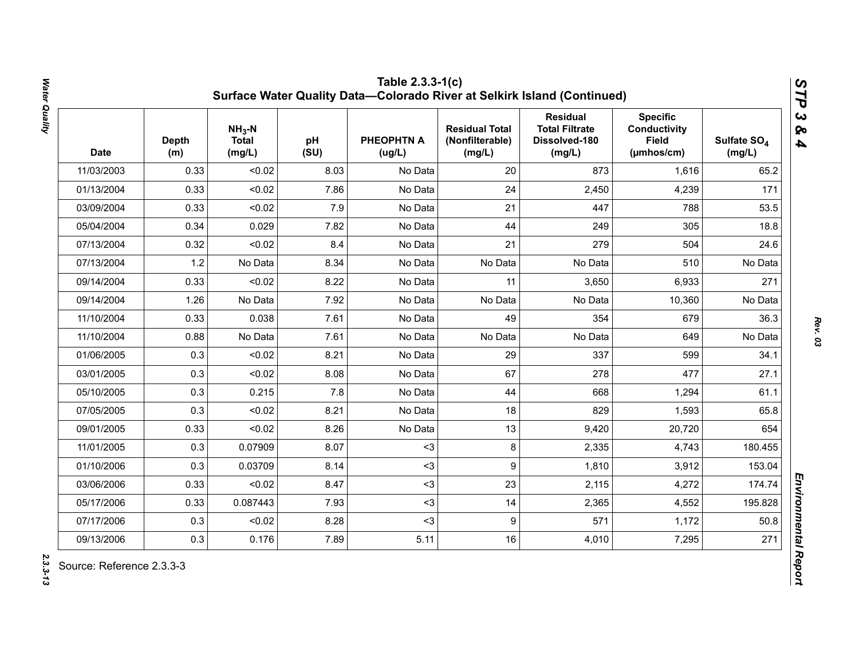| <b>Date</b> | <b>Depth</b><br>(m) | $NH3-N$<br><b>Total</b><br>(mg/L) | pH<br>(SU) | <b>PHEOPHTN A</b><br>(ug/L) | <b>Residual Total</b><br>(Nonfilterable)<br>(mg/L) | <b>Residual</b><br><b>Total Filtrate</b><br>Dissolved-180<br>(mg/L) | <b>Specific</b><br><b>Conductivity</b><br><b>Field</b><br>(µmhos/cm) | Sulfate SO <sub>4</sub><br>(mg/L) |
|-------------|---------------------|-----------------------------------|------------|-----------------------------|----------------------------------------------------|---------------------------------------------------------------------|----------------------------------------------------------------------|-----------------------------------|
| 11/03/2003  | 0.33                | < 0.02                            | 8.03       | No Data                     | 20                                                 | 873                                                                 | 1,616                                                                | 65.2                              |
| 01/13/2004  | 0.33                | < 0.02                            | 7.86       | No Data                     | 24                                                 | 2,450                                                               | 4,239                                                                | 171                               |
| 03/09/2004  | 0.33                | < 0.02                            | 7.9        | No Data                     | 21                                                 | 447                                                                 | 788                                                                  | 53.5                              |
| 05/04/2004  | 0.34                | 0.029                             | 7.82       | No Data                     | 44                                                 | 249                                                                 | 305                                                                  | 18.8                              |
| 07/13/2004  | 0.32                | < 0.02                            | 8.4        | No Data                     | 21                                                 | 279                                                                 | 504                                                                  | 24.6                              |
| 07/13/2004  | 1.2                 | No Data                           | 8.34       | No Data                     | No Data                                            | No Data                                                             | 510                                                                  | No Data                           |
| 09/14/2004  | 0.33                | < 0.02                            | 8.22       | No Data                     | 11                                                 | 3,650                                                               | 6,933                                                                | 271                               |
| 09/14/2004  | 1.26                | No Data                           | 7.92       | No Data                     | No Data                                            | No Data                                                             | 10,360                                                               | No Data                           |
| 11/10/2004  | 0.33                | 0.038                             | 7.61       | No Data                     | 49                                                 | 354                                                                 | 679                                                                  | 36.3                              |
| 11/10/2004  | 0.88                | No Data                           | 7.61       | No Data                     | No Data                                            | No Data                                                             | 649                                                                  | No Data                           |
| 01/06/2005  | 0.3                 | < 0.02                            | 8.21       | No Data                     | 29                                                 | 337                                                                 | 599                                                                  | 34.1                              |
| 03/01/2005  | 0.3                 | < 0.02                            | 8.08       | No Data                     | 67                                                 | 278                                                                 | 477                                                                  | 27.1                              |
| 05/10/2005  | 0.3                 | 0.215                             | 7.8        | No Data                     | 44                                                 | 668                                                                 | 1,294                                                                | 61.1                              |
| 07/05/2005  | 0.3                 | < 0.02                            | 8.21       | No Data                     | 18                                                 | 829                                                                 | 1,593                                                                | 65.8                              |
| 09/01/2005  | 0.33                | < 0.02                            | 8.26       | No Data                     | 13                                                 | 9,420                                                               | 20,720                                                               | 654                               |
| 11/01/2005  | 0.3                 | 0.07909                           | 8.07       | $3$                         | 8                                                  | 2,335                                                               | 4,743                                                                | 180.455                           |
| 01/10/2006  | 0.3                 | 0.03709                           | 8.14       | $3$                         | 9                                                  | 1,810                                                               | 3,912                                                                | 153.04                            |
| 03/06/2006  | 0.33                | < 0.02                            | 8.47       | $3$                         | 23                                                 | 2,115                                                               | 4,272                                                                | 174.74                            |
| 05/17/2006  | 0.33                | 0.087443                          | 7.93       | $3$                         | 14                                                 | 2,365                                                               | 4,552                                                                | 195.828                           |
| 07/17/2006  | 0.3                 | < 0.02                            | 8.28       | $3$                         | 9                                                  | 571                                                                 | 1,172                                                                | 50.8                              |
| 09/13/2006  | 0.3                 | 0.176                             | 7.89       | 5.11                        | 16                                                 | 4,010                                                               | 7,295                                                                | 271                               |

Water Quality *Water Quality 2.3.3-13*

2.3.3-13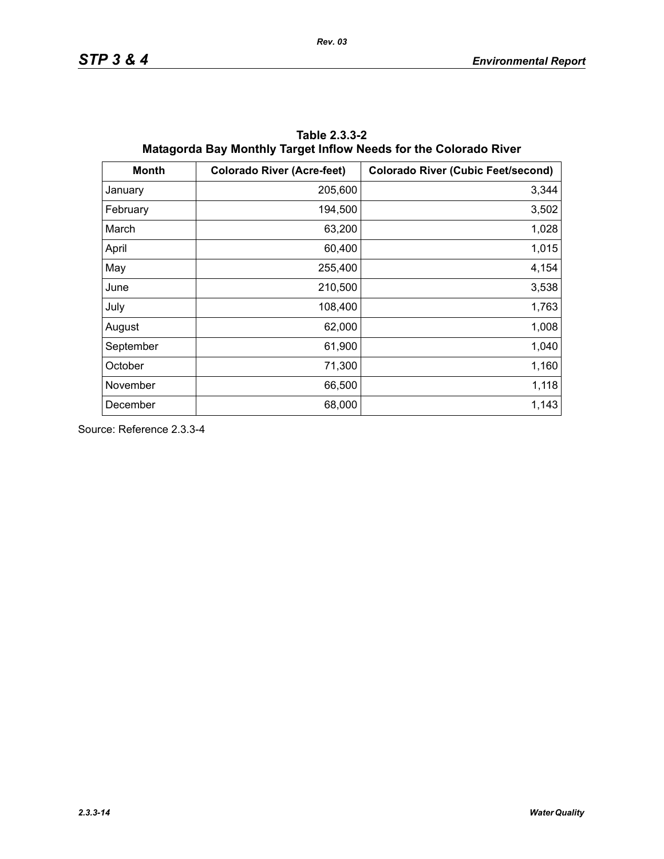| <b>Month</b> | <b>Colorado River (Acre-feet)</b> | <b>Colorado River (Cubic Feet/second)</b> |
|--------------|-----------------------------------|-------------------------------------------|
| January      | 205,600                           | 3,344                                     |
| February     | 194,500                           | 3,502                                     |
| March        | 63,200                            | 1,028                                     |
| April        | 60,400                            | 1,015                                     |
| May          | 255,400                           | 4,154                                     |
| June         | 210,500                           | 3,538                                     |
| July         | 108,400                           | 1,763                                     |
| August       | 62,000                            | 1,008                                     |
| September    | 61,900                            | 1,040                                     |
| October      | 71,300                            | 1,160                                     |
| November     | 66,500                            | 1,118                                     |
| December     | 68,000                            | 1,143                                     |

**Table 2.3.3-2 Matagorda Bay Monthly Target Inflow Needs for the Colorado River**

Source: Reference 2.3.3-4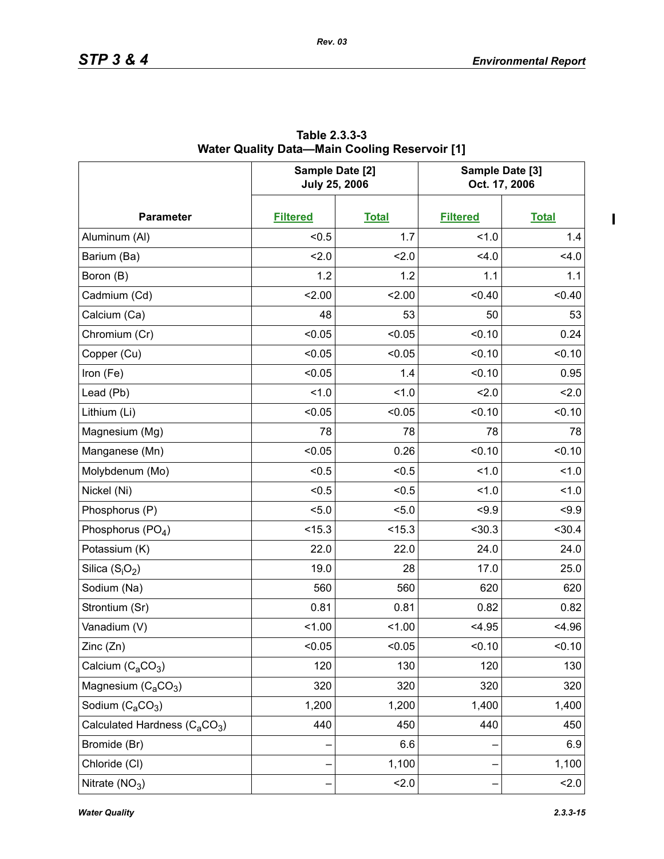$\blacksquare$ 

|                                                       | Sample Date [2]<br><b>July 25, 2006</b> |              | Sample Date [3]<br>Oct. 17, 2006 |              |  |
|-------------------------------------------------------|-----------------------------------------|--------------|----------------------------------|--------------|--|
| <b>Parameter</b>                                      | <b>Filtered</b>                         | <b>Total</b> | <b>Filtered</b>                  | <b>Total</b> |  |
| Aluminum (Al)                                         | < 0.5                                   | 1.7          | 1.0                              | 1.4          |  |
| Barium (Ba)                                           | 2.0                                     | 2.0          | 4.0                              | 4.0          |  |
| Boron (B)                                             | 1.2                                     | 1.2          | 1.1                              | 1.1          |  |
| Cadmium (Cd)                                          | 2.00                                    | 2.00         | < 0.40                           | < 0.40       |  |
| Calcium (Ca)                                          | 48                                      | 53           | 50                               | 53           |  |
| Chromium (Cr)                                         | < 0.05                                  | < 0.05       | < 0.10                           | 0.24         |  |
| Copper (Cu)                                           | < 0.05                                  | < 0.05       | < 0.10                           | < 0.10       |  |
| Iron (Fe)                                             | < 0.05                                  | 1.4          | < 0.10                           | 0.95         |  |
| Lead (Pb)                                             | 1.0                                     | 1.0          | 2.0                              | 2.0          |  |
| Lithium (Li)                                          | < 0.05                                  | < 0.05       | < 0.10                           | < 0.10       |  |
| Magnesium (Mg)                                        | 78                                      | 78           | 78                               | 78           |  |
| Manganese (Mn)                                        | < 0.05                                  | 0.26         | < 0.10                           | < 0.10       |  |
| Molybdenum (Mo)                                       | < 0.5                                   | < 0.5        | 1.0                              | 1.0          |  |
| Nickel (Ni)                                           | < 0.5                                   | < 0.5        | 1.0                              | 1.0          |  |
| Phosphorus (P)                                        | < 5.0                                   | 5.0          | $5 - 9.9$                        | < 9.9        |  |
| Phosphorus (PO <sub>4</sub> )                         | < 15.3                                  | < 15.3       | < 30.3                           | $30.4$       |  |
| Potassium (K)                                         | 22.0                                    | 22.0         | 24.0                             | 24.0         |  |
| Silica $(S_iO_2)$                                     | 19.0                                    | 28           | 17.0                             | 25.0         |  |
| Sodium (Na)                                           | 560                                     | 560          | 620                              | 620          |  |
| Strontium (Sr)                                        | 0.81                                    | 0.81         | 0.82                             | 0.82         |  |
| Vanadium (V)                                          | 1.00                                    | 1.00         | < 4.95                           | < 4.96       |  |
| Zinc (Zn)                                             | < 0.05                                  | < 0.05       | < 0.10                           | < 0.10       |  |
| Calcium $(C_aCO_3)$                                   | 120                                     | 130          | 120                              | 130          |  |
| Magnesium $(C_4CO_3)$                                 | 320                                     | 320          | 320                              | 320          |  |
| Sodium $(C_aCO_3)$                                    | 1,200                                   | 1,200        | 1,400                            | 1,400        |  |
| Calculated Hardness (C <sub>a</sub> CO <sub>3</sub> ) | 440                                     | 450          | 440                              | 450          |  |
| Bromide (Br)                                          |                                         | 6.6          |                                  | 6.9          |  |
| Chloride (CI)                                         |                                         | 1,100        |                                  | 1,100        |  |
| Nitrate $(NO3)$                                       |                                         | 2.0          |                                  | 2.0          |  |

**Table 2.3.3-3 Water Quality Data—Main Cooling Reservoir [1]**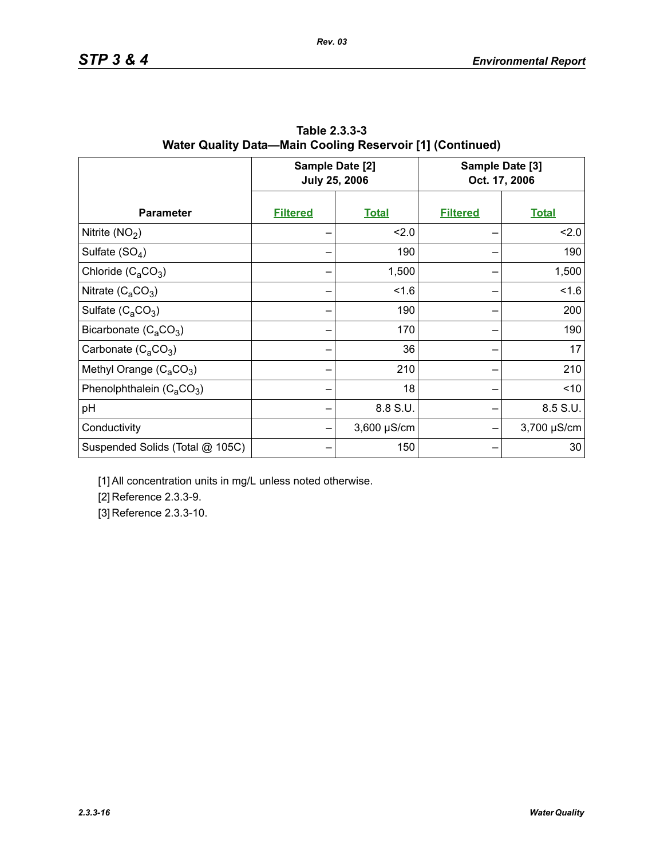|                                 | Sample Date [2]<br><b>July 25, 2006</b> |                  | Sample Date [3]<br>Oct. 17, 2006 |              |
|---------------------------------|-----------------------------------------|------------------|----------------------------------|--------------|
| <b>Parameter</b>                | <b>Filtered</b>                         | <b>Total</b>     | <b>Filtered</b>                  | <b>Total</b> |
| Nitrite $(NO2)$                 |                                         | 2.0              |                                  | 2.0          |
| Sulfate $(SO4)$                 |                                         | 190              |                                  | 190          |
| Chloride $(C_4CO_3)$            |                                         | 1,500            |                                  | 1,500        |
| Nitrate $(C_4CO_3)$             |                                         | 1.6              |                                  | 1.6          |
| Sulfate $(C_4CO_3)$             |                                         | 190              |                                  | 200          |
| Bicarbonate $(C_4CO_3)$         |                                         | 170              |                                  | 190          |
| Carbonate $(C_aCO_3)$           |                                         | 36               |                                  | 17           |
| Methyl Orange $(C_aCO_3)$       |                                         | 210              |                                  | 210          |
| Phenolphthalein $(C_aCO_3)$     |                                         | 18               |                                  | ~10          |
| pH                              |                                         | 8.8 S.U.         |                                  | 8.5 S.U.     |
| Conductivity                    |                                         | $3,600 \mu S/cm$ |                                  | 3,700 µS/cm  |
| Suspended Solids (Total @ 105C) |                                         | 150              |                                  | 30           |

**Table 2.3.3-3 Water Quality Data—Main Cooling Reservoir [1] (Continued)**

[1] All concentration units in mg/L unless noted otherwise.

[2] Reference 2.3.3-9.

[3] Reference 2.3.3-10.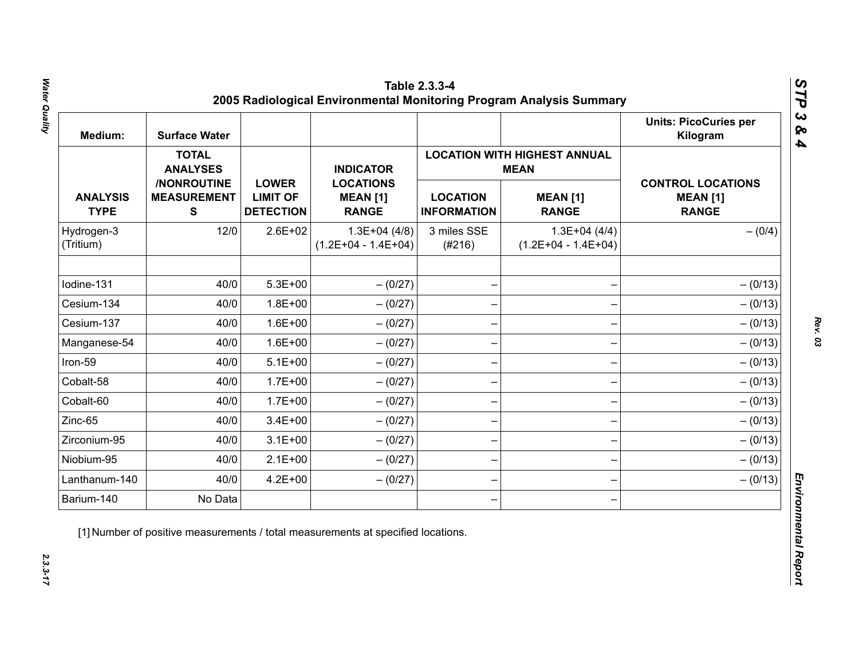| Medium:                        | <b>Surface Water</b>                           |                                                     |                                                     |                                       |                                                    | <b>Units: PicoCuries per</b><br>Kilogram                    |
|--------------------------------|------------------------------------------------|-----------------------------------------------------|-----------------------------------------------------|---------------------------------------|----------------------------------------------------|-------------------------------------------------------------|
|                                | <b>TOTAL</b><br><b>ANALYSES</b>                |                                                     | <b>INDICATOR</b>                                    |                                       | <b>LOCATION WITH HIGHEST ANNUAL</b><br><b>MEAN</b> |                                                             |
| <b>ANALYSIS</b><br><b>TYPE</b> | /NONROUTINE<br><b>MEASUREMENT</b><br>${\bf S}$ | <b>LOWER</b><br><b>LIMIT OF</b><br><b>DETECTION</b> | <b>LOCATIONS</b><br><b>MEAN [1]</b><br><b>RANGE</b> | <b>LOCATION</b><br><b>INFORMATION</b> | <b>MEAN [1]</b><br><b>RANGE</b>                    | <b>CONTROL LOCATIONS</b><br><b>MEAN [1]</b><br><b>RANGE</b> |
| Hydrogen-3<br>(Tritium)        | 12/0                                           | $2.6E + 02$                                         | $1.3E+04(4/8)$<br>$(1.2E+04 - 1.4E+04)$             | 3 miles SSE<br>(#216)                 | $1.3E+04(4/4)$<br>$(1.2E+04 - 1.4E+04)$            | $- (0/4)$                                                   |
| Iodine-131                     | 40/0                                           | $5.3E + 00$                                         | $- (0/27)$                                          |                                       |                                                    | $- (0/13)$                                                  |
| Cesium-134                     | 40/0                                           | $1.8E + 00$                                         | $- (0/27)$                                          |                                       |                                                    | $- (0/13)$                                                  |
| Cesium-137                     | 40/0                                           | $1.6E + 00$                                         | $-(0/27)$                                           |                                       |                                                    | $- (0/13)$                                                  |
| Manganese-54                   | 40/0                                           | $1.6E + 00$                                         | $- (0/27)$                                          |                                       |                                                    | $- (0/13)$                                                  |
| Iron-59                        | 40/0                                           | $5.1E+00$                                           | $- (0/27)$                                          |                                       |                                                    | $- (0/13)$                                                  |
| Cobalt-58                      | 40/0                                           | $1.7E + 00$                                         | $-(0/27)$                                           |                                       |                                                    | $- (0/13)$                                                  |
| Cobalt-60                      | 40/0                                           | $1.7E + 00$                                         | $-(0/27)$                                           |                                       |                                                    | $- (0/13)$                                                  |
| Zinc-65                        | 40/0                                           | $3.4E + 00$                                         | $- (0/27)$                                          |                                       |                                                    | $- (0/13)$                                                  |
| Zirconium-95                   | 40/0                                           | $3.1E + 00$                                         | $-(0/27)$                                           |                                       |                                                    | $- (0/13)$                                                  |
| Niobium-95                     | 40/0                                           | $2.1E+00$                                           | $-(0/27)$                                           |                                       |                                                    | $- (0/13)$                                                  |
| Lanthanum-140                  | 40/0                                           | $4.2E + 00$                                         | $- (0/27)$                                          |                                       |                                                    | $- (0/13)$                                                  |
| Barium-140                     | No Data                                        |                                                     |                                                     |                                       |                                                    |                                                             |

Water Quality *Water Quality 2.3.3-17*

*Rev. 03*

 $2.3.3 - 17$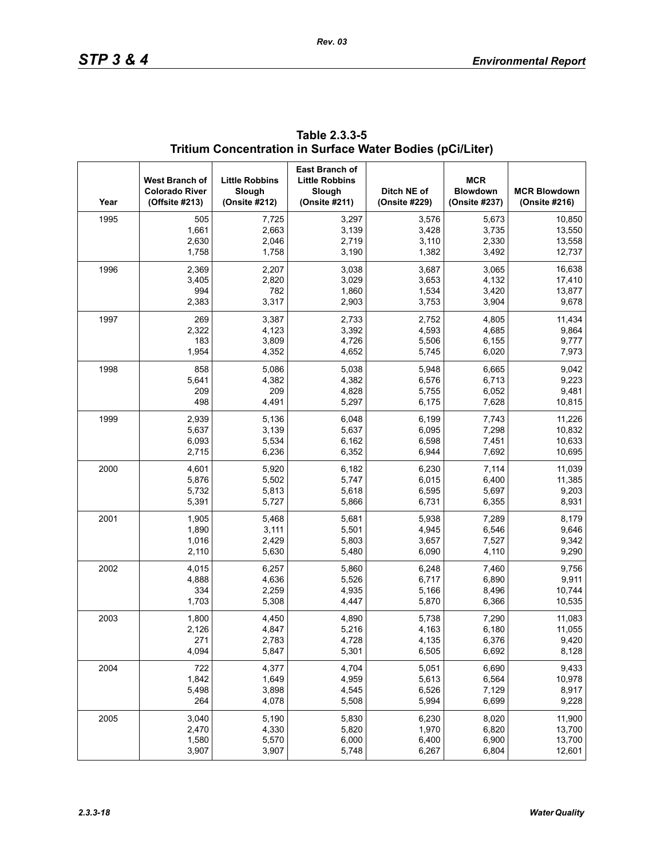| Year | West Branch of<br><b>Colorado River</b><br>(Offsite #213) | <b>Little Robbins</b><br>Slough<br>(Onsite #212) | East Branch of<br><b>Little Robbins</b><br>Slough<br>(Onsite #211) | Ditch NE of<br>(Onsite #229) | <b>MCR</b><br><b>Blowdown</b><br>(Onsite #237) | <b>MCR Blowdown</b><br>(Onsite #216) |
|------|-----------------------------------------------------------|--------------------------------------------------|--------------------------------------------------------------------|------------------------------|------------------------------------------------|--------------------------------------|
| 1995 | 505                                                       | 7,725                                            | 3,297                                                              | 3,576                        | 5,673                                          | 10.850                               |
|      | 1,661                                                     | 2,663                                            | 3,139                                                              | 3,428                        | 3,735                                          | 13,550                               |
|      | 2,630                                                     | 2,046                                            | 2,719                                                              | 3,110                        | 2,330                                          | 13,558                               |
|      | 1,758                                                     | 1,758                                            | 3,190                                                              | 1,382                        | 3,492                                          | 12,737                               |
| 1996 | 2,369                                                     | 2,207                                            | 3,038                                                              | 3,687                        | 3,065                                          | 16,638                               |
|      | 3,405                                                     | 2,820                                            | 3,029                                                              | 3,653                        | 4,132                                          | 17,410                               |
|      | 994                                                       | 782                                              | 1,860                                                              | 1,534                        | 3,420                                          | 13,877                               |
|      | 2,383                                                     | 3,317                                            | 2,903                                                              | 3,753                        | 3,904                                          | 9,678                                |
| 1997 | 269                                                       | 3,387                                            | 2,733                                                              | 2,752                        | 4,805                                          | 11,434                               |
|      | 2,322                                                     | 4,123                                            | 3,392                                                              | 4,593                        | 4,685                                          | 9,864                                |
|      | 183                                                       | 3,809                                            | 4,726                                                              | 5,506                        | 6,155                                          | 9,777                                |
|      | 1,954                                                     | 4,352                                            | 4,652                                                              | 5,745                        | 6,020                                          | 7,973                                |
| 1998 | 858                                                       | 5,086                                            | 5,038                                                              | 5,948                        | 6,665                                          | 9,042                                |
|      | 5,641                                                     | 4,382                                            | 4,382                                                              | 6,576                        | 6,713                                          | 9,223                                |
|      | 209                                                       | 209                                              | 4,828                                                              | 5,755                        | 6,052                                          | 9,481                                |
|      | 498                                                       | 4,491                                            | 5,297                                                              | 6,175                        | 7,628                                          | 10,815                               |
| 1999 | 2,939                                                     | 5,136                                            | 6,048                                                              | 6,199                        | 7,743                                          | 11,226                               |
|      | 5,637                                                     | 3,139                                            | 5,637                                                              | 6,095                        | 7,298                                          | 10,832                               |
|      | 6,093                                                     | 5,534                                            | 6,162                                                              | 6,598                        | 7,451                                          | 10,633                               |
|      | 2,715                                                     | 6,236                                            | 6,352                                                              | 6,944                        | 7,692                                          | 10,695                               |
| 2000 | 4,601                                                     | 5,920                                            | 6,182                                                              | 6,230                        | 7,114                                          | 11,039                               |
|      | 5,876                                                     | 5,502                                            | 5,747                                                              | 6,015                        | 6,400                                          | 11,385                               |
|      | 5,732                                                     | 5,813                                            | 5,618                                                              | 6,595                        | 5,697                                          | 9,203                                |
|      | 5,391                                                     | 5,727                                            | 5,866                                                              | 6,731                        | 6,355                                          | 8,931                                |
| 2001 | 1,905                                                     | 5,468                                            | 5,681                                                              | 5,938                        | 7,289                                          | 8,179                                |
|      | 1,890                                                     | 3,111                                            | 5,501                                                              | 4,945                        | 6,546                                          | 9,646                                |
|      | 1,016                                                     | 2,429                                            | 5,803                                                              | 3,657                        | 7,527                                          | 9,342                                |
|      | 2,110                                                     | 5,630                                            | 5,480                                                              | 6,090                        | 4,110                                          | 9,290                                |
| 2002 | 4,015                                                     | 6,257                                            | 5,860                                                              | 6,248                        | 7,460                                          | 9,756                                |
|      | 4,888                                                     | 4,636                                            | 5,526                                                              | 6,717                        | 6,890                                          | 9,911                                |
|      | 334                                                       | 2,259                                            | 4,935                                                              | 5,166                        | 8,496                                          | 10,744                               |
|      | 1,703                                                     | 5,308                                            | 4,447                                                              | 5,870                        | 6,366                                          | 10,535                               |
| 2003 | 1,800                                                     | 4,450                                            | 4,890                                                              | 5,738                        | 7,290                                          | 11,083                               |
|      | 2,126                                                     | 4,847                                            | 5,216                                                              | 4,163                        | 6,180                                          | 11,055                               |
|      | 271                                                       | 2,783                                            | 4,728                                                              | 4,135                        | 6,376                                          | 9,420                                |
|      | 4,094                                                     | 5,847                                            | 5,301                                                              | 6,505                        | 6,692                                          | 8,128                                |
| 2004 | 722                                                       | 4,377                                            | 4,704                                                              | 5,051                        | 6,690                                          | 9,433                                |
|      | 1,842                                                     | 1,649                                            | 4,959                                                              | 5,613                        | 6,564                                          | 10,978                               |
|      | 5,498                                                     | 3,898                                            | 4,545                                                              | 6,526                        | 7,129                                          | 8,917                                |
|      | 264                                                       | 4,078                                            | 5,508                                                              | 5,994                        | 6,699                                          | 9,228                                |
| 2005 | 3,040                                                     | 5,190                                            | 5,830                                                              | 6,230                        | 8,020                                          | 11,900                               |
|      | 2,470                                                     | 4,330                                            | 5,820                                                              | 1,970                        | 6,820                                          | 13,700                               |
|      | 1,580                                                     | 5,570                                            | 6,000                                                              | 6,400                        | 6,900                                          | 13,700                               |
|      | 3,907                                                     | 3,907                                            | 5,748                                                              | 6,267                        | 6,804                                          | 12,601                               |

**Table 2.3.3-5 Tritium Concentration in Surface Water Bodies (pCi/Liter)**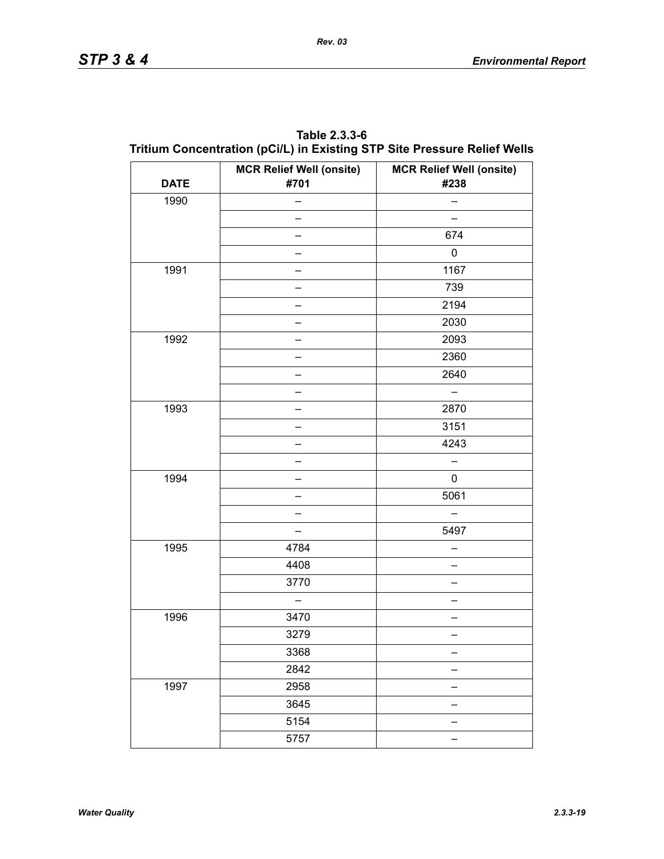| <b>DATE</b> | <b>MCR Relief Well (onsite)</b><br>#701 | <b>MCR Relief Well (onsite)</b><br>#238 |
|-------------|-----------------------------------------|-----------------------------------------|
| 1990        |                                         |                                         |
|             |                                         |                                         |
|             |                                         | 674                                     |
|             |                                         | 0                                       |
| 1991        |                                         | 1167                                    |
|             |                                         | 739                                     |
|             |                                         | 2194                                    |
|             |                                         | 2030                                    |
| 1992        |                                         | 2093                                    |
|             |                                         | 2360                                    |
|             |                                         | 2640                                    |
|             |                                         |                                         |
| 1993        |                                         | 2870                                    |
|             |                                         | 3151                                    |
|             |                                         | 4243                                    |
|             |                                         |                                         |
| 1994        |                                         | 0                                       |
|             |                                         | 5061                                    |
|             |                                         |                                         |
|             |                                         | 5497                                    |
| 1995        | 4784                                    |                                         |
|             | 4408                                    |                                         |
|             | 3770                                    | —                                       |
|             |                                         |                                         |
| 1996        | 3470                                    |                                         |
|             | 3279                                    |                                         |
|             | 3368                                    |                                         |
|             | 2842                                    |                                         |
| 1997        | 2958                                    |                                         |
|             | 3645                                    | —                                       |
|             | 5154                                    |                                         |
|             | 5757                                    |                                         |

**Table 2.3.3-6 Tritium Concentration (pCi/L) in Existing STP Site Pressure Relief Wells**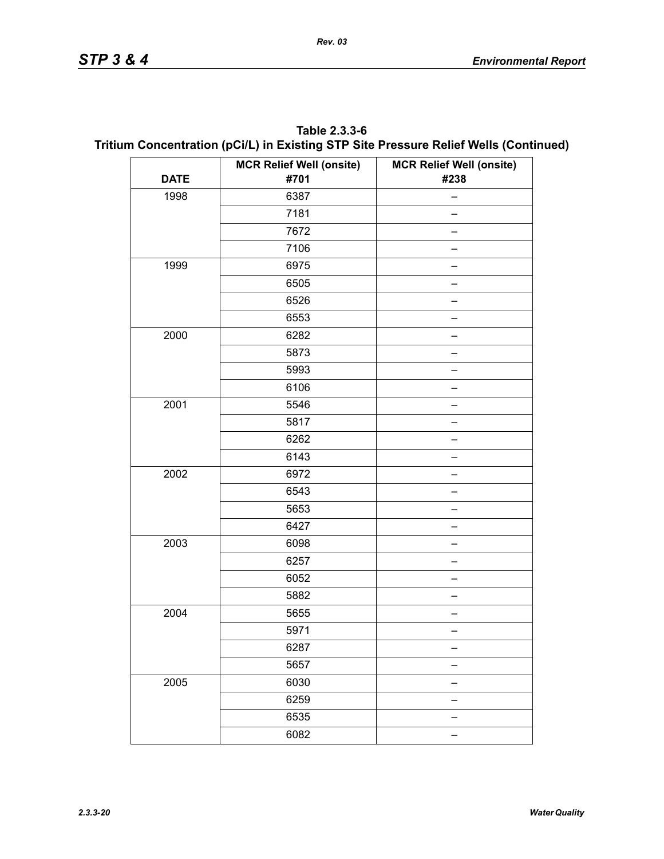| Table 2.3.3-6                                                                        |
|--------------------------------------------------------------------------------------|
| Tritium Concentration (pCi/L) in Existing STP Site Pressure Relief Wells (Continued) |

|             | <b>MCR Relief Well (onsite)</b> | <b>MCR Relief Well (onsite)</b> |
|-------------|---------------------------------|---------------------------------|
| <b>DATE</b> | #701                            | #238                            |
| 1998        | 6387                            | -                               |
|             | 7181                            |                                 |
|             | 7672                            |                                 |
|             | 7106                            |                                 |
| 1999        | 6975                            |                                 |
|             | 6505                            |                                 |
|             | 6526                            |                                 |
|             | 6553                            |                                 |
| 2000        | 6282                            |                                 |
|             | 5873                            |                                 |
|             | 5993                            |                                 |
|             | 6106                            |                                 |
| 2001        | 5546                            |                                 |
|             | 5817                            |                                 |
|             | 6262                            |                                 |
|             | 6143                            |                                 |
| 2002        | 6972                            |                                 |
|             | 6543                            |                                 |
|             | 5653                            |                                 |
|             | 6427                            |                                 |
| 2003        | 6098                            |                                 |
|             | 6257                            |                                 |
|             | 6052                            |                                 |
|             | 5882                            |                                 |
| 2004        | 5655                            |                                 |
|             | 5971                            |                                 |
|             | 6287                            |                                 |
|             | 5657                            |                                 |
| 2005        | 6030                            |                                 |
|             | 6259                            |                                 |
|             | 6535                            |                                 |
|             | 6082                            |                                 |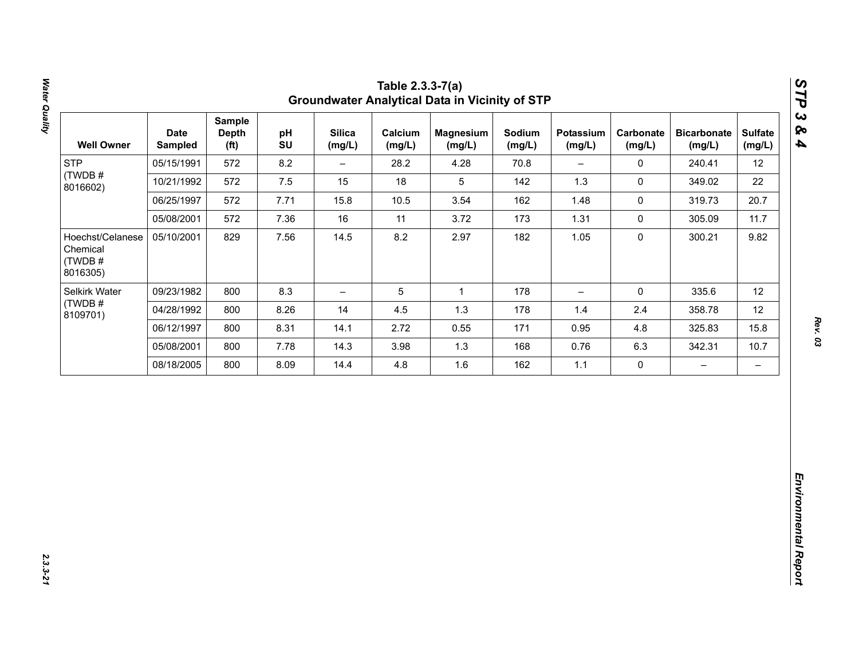| 12<br>22<br>20.7<br>11.7<br>9.82 |
|----------------------------------|
|                                  |
|                                  |
|                                  |
|                                  |
|                                  |
| 12                               |
| 12                               |
| 15.8                             |
| 10.7                             |
| $\qquad \qquad -$                |
|                                  |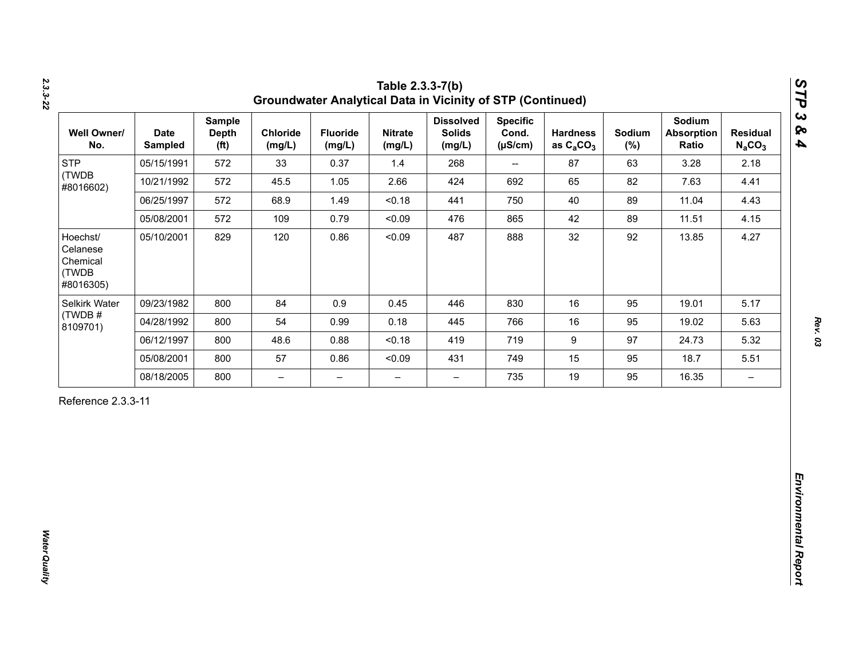| <b>STP</b><br>(TWDB                                    |            | <b>Depth</b><br>(f <sup>t</sup> ) | Chloride<br>(mg/L)       | <b>Fluoride</b><br>(mg/L) | <b>Nitrate</b><br>(mg/L) | <b>Dissolved</b><br><b>Solids</b><br>(mg/L) | <b>Specific</b><br>Cond.<br>$(\mu S/cm)$ | <b>Hardness</b><br>as $C_2CO_3$ | Sodium<br>$(\%)$ | Sodium<br><b>Absorption</b><br>Ratio | <b>Residual</b><br>$N_aCO_3$ |
|--------------------------------------------------------|------------|-----------------------------------|--------------------------|---------------------------|--------------------------|---------------------------------------------|------------------------------------------|---------------------------------|------------------|--------------------------------------|------------------------------|
| #8016602)                                              | 05/15/1991 | 572                               | 33                       | 0.37                      | 1.4                      | 268                                         | $\overline{\phantom{a}}$                 | 87                              | 63               | 3.28                                 | 2.18                         |
|                                                        | 10/21/1992 | 572                               | 45.5                     | 1.05                      | 2.66                     | 424                                         | 692                                      | 65                              | 82               | 7.63                                 | 4.41                         |
|                                                        | 06/25/1997 | 572                               | 68.9                     | 1.49                      | < 0.18                   | 441                                         | 750                                      | 40                              | 89               | 11.04                                | 4.43                         |
|                                                        | 05/08/2001 | 572                               | 109                      | 0.79                      | < 0.09                   | 476                                         | 865                                      | 42                              | 89               | 11.51                                | 4.15                         |
| Hoechst/<br>Celanese<br>Chemical<br>(TWDB<br>#8016305) | 05/10/2001 | 829                               | 120                      | 0.86                      | < 0.09                   | 487                                         | 888                                      | 32                              | 92               | 13.85                                | 4.27                         |
| Selkirk Water                                          | 09/23/1982 | 800                               | 84                       | 0.9                       | 0.45                     | 446                                         | 830                                      | 16                              | 95               | 19.01                                | 5.17                         |
| (TWDB#<br>8109701)                                     | 04/28/1992 | 800                               | 54                       | 0.99                      | 0.18                     | 445                                         | 766                                      | 16                              | 95               | 19.02                                | 5.63                         |
|                                                        | 06/12/1997 | 800                               | 48.6                     | 0.88                      | < 0.18                   | 419                                         | 719                                      | $\boldsymbol{9}$                | 97               | 24.73                                | 5.32                         |
|                                                        | 05/08/2001 | 800                               | 57                       | 0.86                      | < 0.09                   | 431                                         | 749                                      | 15                              | 95               | 18.7                                 | 5.51                         |
|                                                        | 08/18/2005 | 800                               | $\overline{\phantom{0}}$ | $\overline{\phantom{m}}$  | $\overline{\phantom{0}}$ | $\overline{\phantom{0}}$                    | 735                                      | 19                              | 95               | 16.35                                | $\overline{\phantom{m}}$     |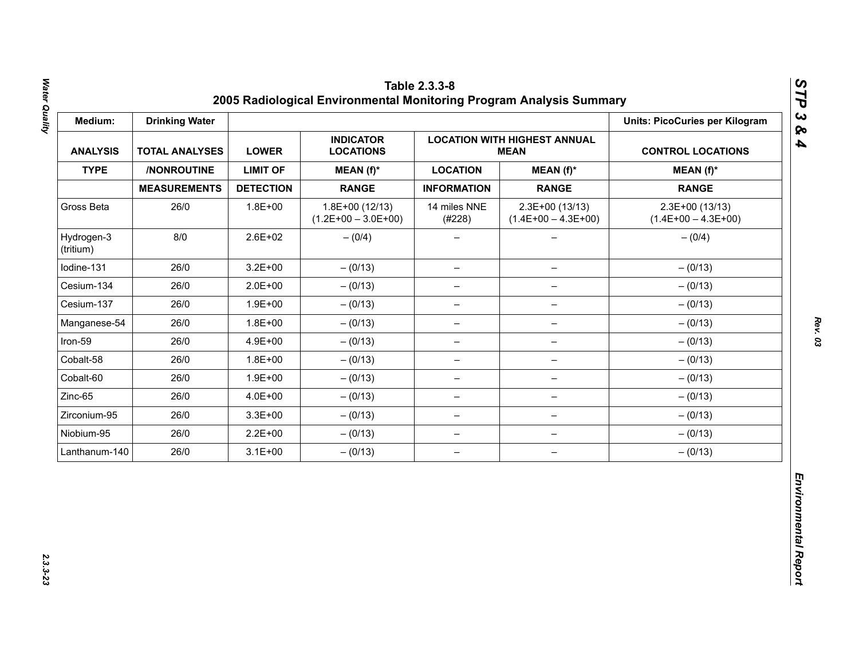| Medium:                 | <b>Drinking Water</b> |                  |                                           |                          |                                                    | <b>Units: PicoCuries per Kilogram</b>     |
|-------------------------|-----------------------|------------------|-------------------------------------------|--------------------------|----------------------------------------------------|-------------------------------------------|
| <b>ANALYSIS</b>         | <b>TOTAL ANALYSES</b> | <b>LOWER</b>     | <b>INDICATOR</b><br><b>LOCATIONS</b>      |                          | <b>LOCATION WITH HIGHEST ANNUAL</b><br><b>MEAN</b> | <b>CONTROL LOCATIONS</b>                  |
| <b>TYPE</b>             | /NONROUTINE           | <b>LIMIT OF</b>  | MEAN (f)*                                 | <b>LOCATION</b>          | $MEAN(f)^*$                                        | $MEAN(f)^*$                               |
|                         | <b>MEASUREMENTS</b>   | <b>DETECTION</b> | <b>RANGE</b>                              | <b>INFORMATION</b>       | <b>RANGE</b>                                       | <b>RANGE</b>                              |
| Gross Beta              | 26/0                  | $1.8E + 00$      | $1.8E+00(12/13)$<br>$(1.2E+00 - 3.0E+00)$ | 14 miles NNE<br>(#228)   | $2.3E+00(13/13)$<br>$(1.4E+00 - 4.3E+00)$          | $2.3E+00(13/13)$<br>$(1.4E+00 - 4.3E+00)$ |
| Hydrogen-3<br>(tritium) | 8/0                   | $2.6E + 02$      | $- (0/4)$                                 |                          |                                                    | $- (0/4)$                                 |
| Iodine-131              | 26/0                  | $3.2E + 00$      | $- (0/13)$                                | $\overline{\phantom{m}}$ | $\qquad \qquad -$                                  | $- (0/13)$                                |
| Cesium-134              | 26/0                  | $2.0E + 00$      | $- (0/13)$                                | $\overline{\phantom{m}}$ | $\overline{\phantom{m}}$                           | $- (0/13)$                                |
| Cesium-137              | 26/0                  | $1.9E + 00$      | $- (0/13)$                                | -                        |                                                    | $- (0/13)$                                |
| Manganese-54            | 26/0                  | $1.8E + 00$      | $- (0/13)$                                | $\qquad \qquad -$        | $\qquad \qquad -$                                  | $- (0/13)$                                |
| Iron-59                 | 26/0                  | 4.9E+00          | $- (0/13)$                                | $\overline{\phantom{0}}$ | $\qquad \qquad -$                                  | $- (0/13)$                                |
| Cobalt-58               | 26/0                  | $1.8E + 00$      | $- (0/13)$                                | $\overline{\phantom{m}}$ | $\overline{\phantom{0}}$                           | $- (0/13)$                                |
| Cobalt-60               | 26/0                  | $1.9E + 00$      | $- (0/13)$                                | $\overline{\phantom{m}}$ | $\qquad \qquad -$                                  | $- (0/13)$                                |
| Zinc-65                 | 26/0                  | 4.0E+00          | $- (0/13)$                                | $\overline{\phantom{0}}$ | $\qquad \qquad -$                                  | $- (0/13)$                                |
| Zirconium-95            | 26/0                  | $3.3E + 00$      | $- (0/13)$                                | $\overline{\phantom{m}}$ | $\qquad \qquad -$                                  | $- (0/13)$                                |
| Niobium-95              | 26/0                  | $2.2E + 00$      | $- (0/13)$                                | $\overline{\phantom{m}}$ | $\qquad \qquad -$                                  | $- (0/13)$                                |
| Lanthanum-140           | 26/0                  | $3.1E + 00$      | $- (0/13)$                                | $\overline{\phantom{m}}$ | $\overline{\phantom{m}}$                           | $- (0/13)$                                |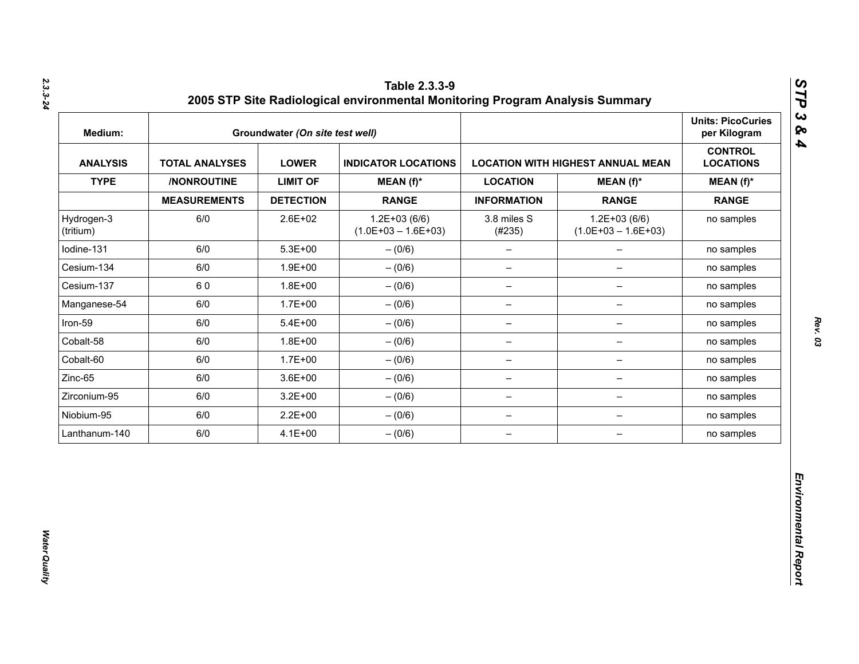| Medium:                 |                       | Groundwater (On site test well) |                                           |                          |                                          | <b>Units: PicoCuries</b><br>per Kilogram |
|-------------------------|-----------------------|---------------------------------|-------------------------------------------|--------------------------|------------------------------------------|------------------------------------------|
| <b>ANALYSIS</b>         | <b>TOTAL ANALYSES</b> | <b>LOWER</b>                    | <b>INDICATOR LOCATIONS</b>                |                          | <b>LOCATION WITH HIGHEST ANNUAL MEAN</b> | <b>CONTROL</b><br><b>LOCATIONS</b>       |
| <b>TYPE</b>             | /NONROUTINE           | <b>LIMIT OF</b>                 | $MEAN(f)^*$                               | <b>LOCATION</b>          | $MEAN(f)^*$                              | $MEAN(f)^*$                              |
|                         | <b>MEASUREMENTS</b>   | <b>DETECTION</b>                | <b>RANGE</b>                              | <b>INFORMATION</b>       | <b>RANGE</b>                             | <b>RANGE</b>                             |
| Hydrogen-3<br>(tritium) | 6/0                   | 2.6E+02                         | $1.2E + 03(6/6)$<br>$(1.0E+03 - 1.6E+03)$ | 3.8 miles S<br>(#235)    | $1.2E+03(6/6)$<br>$(1.0E+03 - 1.6E+03)$  | no samples                               |
| lodine-131              | 6/0                   | $5.3E + 00$                     | $- (0/6)$                                 | $\qquad \qquad -$        | $\overline{\phantom{0}}$                 | no samples                               |
| Cesium-134              | 6/0                   | $1.9E + 00$                     | $- (0/6)$                                 | $\qquad \qquad -$        | $\overline{\phantom{0}}$                 | no samples                               |
| Cesium-137              | 60                    | $1.8E + 00$                     | $-(0/6)$                                  | $\overline{\phantom{a}}$ | $\qquad \qquad -$                        | no samples                               |
| Manganese-54            | 6/0                   | $1.7E + 00$                     | $- (0/6)$                                 | $\overline{\phantom{m}}$ | -                                        | no samples                               |
| Iron-59                 | 6/0                   | $5.4E + 00$                     | $- (0/6)$                                 | $\qquad \qquad -$        | -                                        | no samples                               |
| Cobalt-58               | 6/0                   | $1.8E + 00$                     | $- (0/6)$                                 | $\overline{\phantom{m}}$ | $\qquad \qquad -$                        | no samples                               |
| Cobalt-60               | 6/0                   | $1.7E + 00$                     | $- (0/6)$                                 | $\overline{\phantom{m}}$ | $\qquad \qquad -$                        | no samples                               |
| Zinc-65                 | 6/0                   | $3.6E + 00$                     | $-(0/6)$                                  | $\overline{\phantom{m}}$ | $\qquad \qquad -$                        | no samples                               |
| Zirconium-95            | 6/0                   | $3.2E + 00$                     | $-(0/6)$                                  | $\qquad \qquad -$        | -                                        | no samples                               |
| Niobium-95              | 6/0                   | $2.2E + 00$                     | $-(0/6)$                                  | $\qquad \qquad -$        | $\overline{\phantom{a}}$                 | no samples                               |
| Lanthanum-140           | 6/0                   | $4.1E + 00$                     | $-(0/6)$                                  | $\qquad \qquad -$        | $\qquad \qquad -$                        | no samples                               |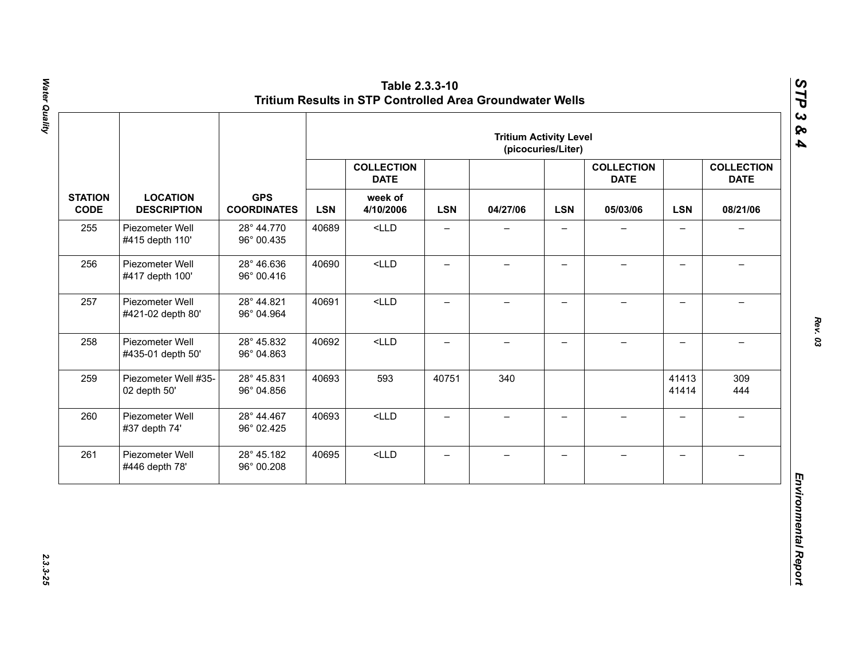|                               |                                       |                                  |            |                                  |                          | <b>Tritium Activity Level</b> | (picocuries/Liter)       |                                  |                          |                                  |
|-------------------------------|---------------------------------------|----------------------------------|------------|----------------------------------|--------------------------|-------------------------------|--------------------------|----------------------------------|--------------------------|----------------------------------|
|                               |                                       |                                  |            | <b>COLLECTION</b><br><b>DATE</b> |                          |                               |                          | <b>COLLECTION</b><br><b>DATE</b> |                          | <b>COLLECTION</b><br><b>DATE</b> |
| <b>STATION</b><br><b>CODE</b> | <b>LOCATION</b><br><b>DESCRIPTION</b> | <b>GPS</b><br><b>COORDINATES</b> | <b>LSN</b> | week of<br>4/10/2006             | <b>LSN</b>               | 04/27/06                      | <b>LSN</b>               | 05/03/06                         | <b>LSN</b>               | 08/21/06                         |
| 255                           | Piezometer Well<br>#415 depth 110'    | 28° 44.770<br>96° 00.435         | 40689      | $<$ LLD                          | $\overline{\phantom{0}}$ |                               |                          |                                  | $\overline{\phantom{0}}$ |                                  |
| 256                           | Piezometer Well<br>#417 depth 100'    | 28° 46.636<br>96° 00.416         | 40690      | $<$ LLD                          | $\qquad \qquad -$        | $\overline{\phantom{0}}$      | $\qquad \qquad -$        |                                  | $\overline{\phantom{0}}$ |                                  |
| 257                           | Piezometer Well<br>#421-02 depth 80'  | 28° 44.821<br>96° 04.964         | 40691      | $<$ LLD                          | $\overline{\phantom{0}}$ | $\overline{\phantom{0}}$      | $\overline{\phantom{0}}$ | $\overline{\phantom{0}}$         | $\overline{\phantom{0}}$ | $\equiv$                         |
| 258                           | Piezometer Well<br>#435-01 depth 50'  | 28° 45.832<br>96° 04.863         | 40692      | $<$ LLD                          | $\overline{\phantom{0}}$ | $\overline{\phantom{0}}$      | $\overline{\phantom{0}}$ | $\!-$                            | $\overline{\phantom{0}}$ | $\overline{\phantom{m}}$         |
| 259                           | Piezometer Well #35-<br>02 depth 50'  | 28° 45.831<br>96° 04.856         | 40693      | 593                              | 40751                    | 340                           |                          |                                  | 41413<br>41414           | 309<br>444                       |
| 260                           | Piezometer Well<br>#37 depth 74'      | 28° 44.467<br>96° 02.425         | 40693      | $<$ LLD                          | $\overline{\phantom{0}}$ | $\overline{\phantom{0}}$      | $\overline{\phantom{0}}$ | $\equiv$                         | $\overline{\phantom{0}}$ | $\rightarrow$                    |
| 261                           | Piezometer Well<br>#446 depth 78'     | 28° 45.182<br>96° 00.208         | 40695      | $<$ LLD                          | $\qquad \qquad -$        | $\qquad \qquad -$             | $\overline{\phantom{m}}$ | $\qquad \qquad -$                | $\overline{\phantom{0}}$ | $\overline{\phantom{0}}$         |

Water Quality *Water Quality 2.3.3-25*

*Rev. 03*

*STP 3 & 4*

2.3.3-25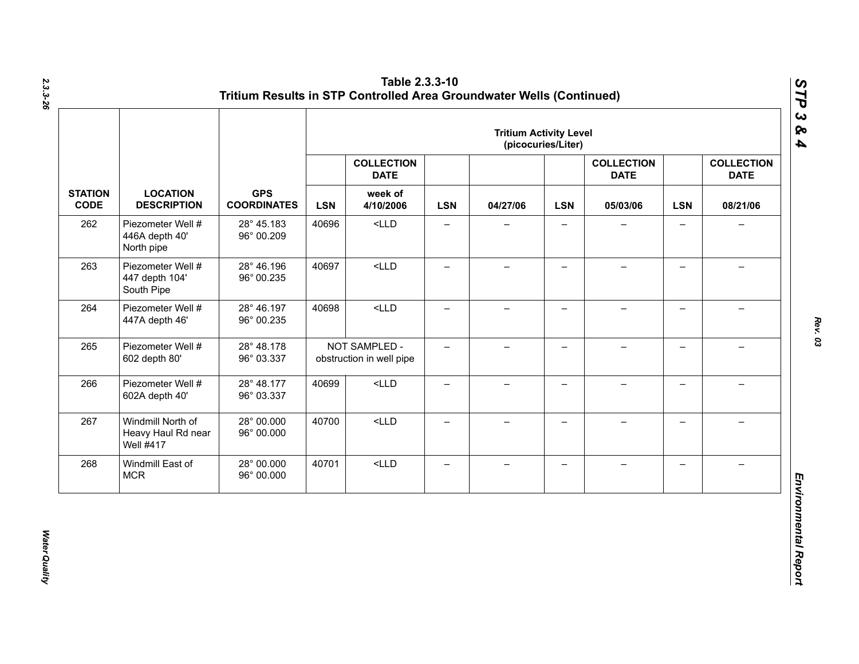|                               |                                                             |                                  |       |                                           |                          | <b>Tritium Activity Level</b> | (picocuries/Liter)       |                                  |                          |                                  |            |          |
|-------------------------------|-------------------------------------------------------------|----------------------------------|-------|-------------------------------------------|--------------------------|-------------------------------|--------------------------|----------------------------------|--------------------------|----------------------------------|------------|----------|
|                               |                                                             |                                  |       | <b>COLLECTION</b><br><b>DATE</b>          |                          |                               |                          | <b>COLLECTION</b><br><b>DATE</b> |                          | <b>COLLECTION</b><br><b>DATE</b> |            |          |
| <b>STATION</b><br><b>CODE</b> | <b>LOCATION</b><br><b>DESCRIPTION</b>                       | <b>GPS</b><br><b>COORDINATES</b> |       |                                           | <b>LSN</b>               | week of<br>4/10/2006          | <b>LSN</b>               | 04/27/06                         | <b>LSN</b>               | 05/03/06                         | <b>LSN</b> | 08/21/06 |
| 262                           | Piezometer Well #<br>446A depth 40'<br>North pipe           | 28° 45.183<br>96° 00.209         | 40696 | $<$ LLD                                   | $\qquad \qquad -$        | $\overline{\phantom{0}}$      | $\overline{\phantom{0}}$ |                                  | $\qquad \qquad -$        | $\overline{\phantom{0}}$         |            |          |
| 263                           | Piezometer Well #<br>447 depth 104'<br>South Pipe           | 28° 46.196<br>96° 00.235         | 40697 | $<$ LLD                                   | $\overline{\phantom{0}}$ | $\overline{\phantom{0}}$      | $\overline{\phantom{0}}$ |                                  | $\qquad \qquad -$        |                                  |            |          |
| 264                           | Piezometer Well #<br>447A depth 46'                         | 28° 46.197<br>96° 00.235         | 40698 | $<$ LLD                                   | —                        | $\overline{\phantom{0}}$      | $\overline{\phantom{0}}$ |                                  | $\overline{\phantom{0}}$ |                                  |            |          |
| 265                           | Piezometer Well #<br>602 depth 80'                          | 28° 48.178<br>96° 03.337         |       | NOT SAMPLED -<br>obstruction in well pipe | $-$                      | $-$                           | $\overline{\phantom{0}}$ |                                  | $\overline{\phantom{0}}$ |                                  |            |          |
| 266                           | Piezometer Well #<br>602A depth 40'                         | 28° 48.177<br>96° 03.337         | 40699 | $<$ LLD                                   | $\qquad \qquad -$        | $\overline{\phantom{0}}$      | $\qquad \qquad -$        |                                  | $\overline{\phantom{0}}$ |                                  |            |          |
| 267                           | Windmill North of<br>Heavy Haul Rd near<br><b>Well #417</b> | 28° 00.000<br>96° 00.000         | 40700 | $<$ LLD                                   | $\equiv$                 | $-$                           | $-$                      | $\!-$                            | $\overline{\phantom{0}}$ | $\overline{\phantom{0}}$         |            |          |
| 268                           | Windmill East of<br><b>MCR</b>                              | 28° 00.000<br>96° 00.000         | 40701 | $<$ LLD                                   | $\qquad \qquad -$        | $\overline{\phantom{0}}$      | —                        |                                  | $\qquad \qquad -$        |                                  |            |          |